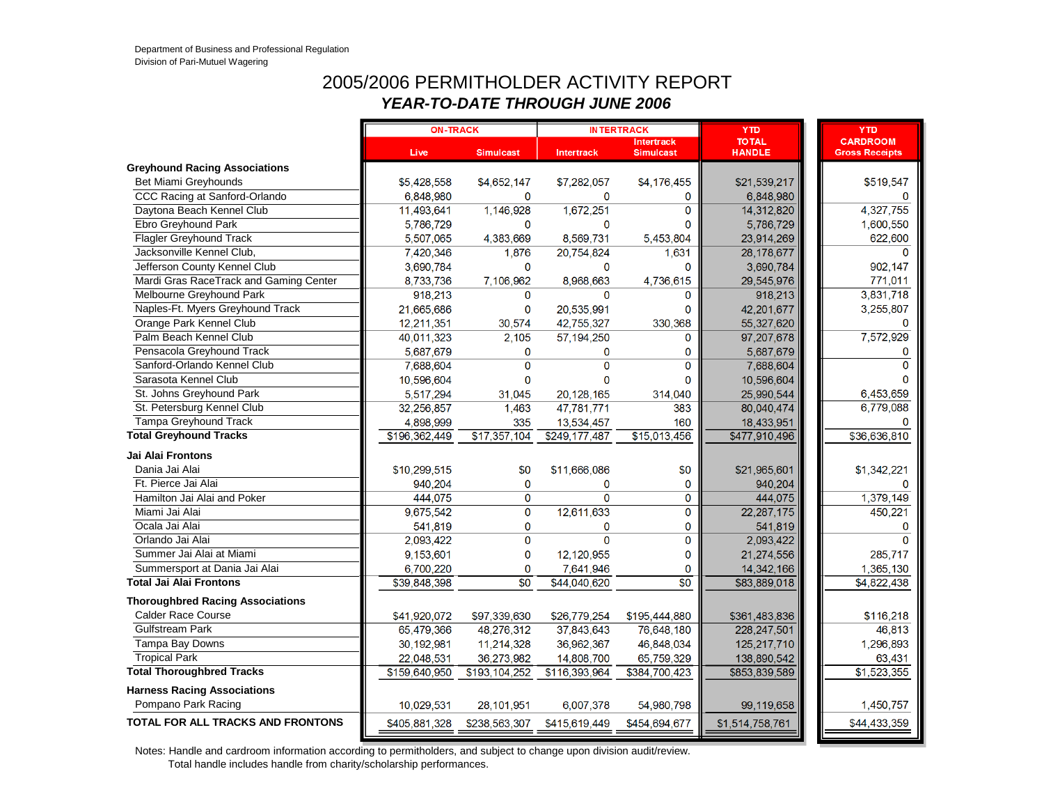#### 2005/2006 PERMITHOLDER ACTIVITY REPORT *YEAR-TO-DATE THROUGH JUNE 2006*

|                                         | <b>ON-TRACK</b> |                  |                   | <b>INTERTRACK</b>                     | <b>YTD</b>                     | <b>YTD</b>                               |
|-----------------------------------------|-----------------|------------------|-------------------|---------------------------------------|--------------------------------|------------------------------------------|
|                                         | Live            | <b>Simulcast</b> | <b>Intertrack</b> | <b>Intertrack</b><br><b>Simulcast</b> | <b>TO TAL</b><br><b>HANDLE</b> | <b>CARDROOM</b><br><b>Gross Receipts</b> |
| <b>Greyhound Racing Associations</b>    |                 |                  |                   |                                       |                                |                                          |
| Bet Miami Greyhounds                    | \$5,428,558     | \$4,652,147      | \$7,282,057       | \$4,176,455                           | \$21,539,217                   | \$519,547                                |
| CCC Racing at Sanford-Orlando           | 6,848,980       | $\mathbf 0$      | $\mathbf 0$       | $\mathbf 0$                           | 6,848,980                      | $\Omega$                                 |
| Daytona Beach Kennel Club               | 11,493,641      | 1,146,928        | 1,672,251         | $\Omega$                              | 14,312,820                     | 4,327,755                                |
| Ebro Greyhound Park                     | 5.786.729       | $\Omega$         | $\bf{0}$          | $\Omega$                              | 5,786,729                      | 1,600,550                                |
| <b>Flagler Greyhound Track</b>          | 5,507,065       | 4,383,669        | 8,569,731         | 5,453,804                             | 23,914,269                     | 622,600                                  |
| Jacksonville Kennel Club,               | 7,420,346       | 1,876            | 20,754,824        | 1.631                                 | 28,178,677                     | $\Omega$                                 |
| Jefferson County Kennel Club            | 3,690,784       | $\mathbf{0}$     | 0                 | $\Omega$                              | 3,690,784                      | 902,147                                  |
| Mardi Gras RaceTrack and Gaming Center  | 8,733,736       | 7,106,962        | 8,968,663         | 4,736,615                             | 29,545,976                     | 771,011                                  |
| Melbourne Greyhound Park                | 918,213         | $\mathbf 0$      | $\mathbf{0}$      | $\mathbf{0}$                          | 918,213                        | 3,831,718                                |
| Naples-Ft. Myers Greyhound Track        | 21,665,686      | $\mathbf 0$      | 20,535,991        | $\Omega$                              | 42,201,677                     | 3,255,807                                |
| Orange Park Kennel Club                 | 12,211,351      | 30,574           | 42,755,327        | 330,368                               | 55,327,620                     | $\Omega$                                 |
| Palm Beach Kennel Club                  | 40,011,323      | 2,105            | 57,194,250        | $\mathbf 0$                           | 97,207,678                     | 7,572,929                                |
| Pensacola Greyhound Track               | 5,687,679       | $\Omega$         | 0                 | 0                                     | 5,687,679                      | 0                                        |
| Sanford-Orlando Kennel Club             | 7,688,604       | $\mathbf{0}$     | $\overline{0}$    | $\Omega$                              | 7,688,604                      | O                                        |
| Sarasota Kennel Club                    | 10,596,604      | $\mathbf{0}$     | $\mathbf{0}$      | 0                                     | 10,596,604                     | O                                        |
| St. Johns Greyhound Park                | 5,517,294       | 31,045           | 20,128,165        | 314,040                               | 25,990,544                     | 6,453,659                                |
| St. Petersburg Kennel Club              | 32,256,857      | 1,463            | 47,781,771        | 383                                   | 80,040,474                     | 6,779,088                                |
| <b>Tampa Greyhound Track</b>            | 4,898,999       | 335              | 13,534,457        | 160                                   | 18,433,951                     | 0                                        |
| <b>Total Greyhound Tracks</b>           | \$196,362,449   | \$17,357,104     | \$249,177,487     | \$15,013,456                          | \$477,910,496                  | \$36,636,810                             |
| Jai Alai Frontons                       |                 |                  |                   |                                       |                                |                                          |
| Dania Jai Alai                          | \$10,299,515    | \$0              | \$11,666,086      | \$0                                   | \$21,965,601                   | \$1,342,221                              |
| Ft. Pierce Jai Alai                     | 940,204         | $\bf{0}$         | 0                 | $\mathbf{0}$                          | 940,204                        | 0                                        |
| Hamilton Jai Alai and Poker             | 444,075         | $\mathbf 0$      | $\Omega$          | $\mathbf{O}$                          | 444,075                        | 1,379,149                                |
| Miami Jai Alai                          | 9,675,542       | $\mathbf 0$      | 12,611,633        | $\Omega$                              | 22, 287, 175                   | 450,221                                  |
| Ocala Jai Alai                          | 541,819         | 0                | 0                 | $\mathbf 0$                           | 541,819                        | 0                                        |
| Orlando Jai Alai                        | 2,093,422       | $\overline{0}$   | $\Omega$          | $\mathbf 0$                           | 2,093,422                      | $\Omega$                                 |
| Summer Jai Alai at Miami                | 9,153,601       | 0                | 12,120,955        | $\Omega$                              | 21,274,556                     | 285,717                                  |
| Summersport at Dania Jai Alai           | 6,700,220       | 0                | 7,641,946         | $\mathbf{0}$                          | 14,342,166                     | 1,365,130                                |
| <b>Total Jai Alai Frontons</b>          | \$39,848,398    | $\overline{30}$  | \$44,040,620      | $\overline{50}$                       | \$83,889,018                   | \$4,822,438                              |
| <b>Thoroughbred Racing Associations</b> |                 |                  |                   |                                       |                                |                                          |
| <b>Calder Race Course</b>               | \$41,920,072    | \$97,339,630     | \$26,779,254      | \$195,444,880                         | \$361,483,836                  | \$116,218                                |
| <b>Gulfstream Park</b>                  | 65,479,366      | 48,276,312       | 37,843,643        | 76,648,180                            | 228,247,501                    | 46,813                                   |
| Tampa Bay Downs                         | 30,192,981      | 11,214,328       | 36,962,367        | 46,848,034                            | 125,217,710                    | 1,296,893                                |
| <b>Tropical Park</b>                    | 22,048,531      | 36,273,982       | 14,808,700        | 65,759,329                            | 138,890,542                    | 63,431                                   |
| <b>Total Thoroughbred Tracks</b>        | \$159,640,950   | \$193,104,252    | \$116,393,964     | \$384,700,423                         | \$853,839,589                  | \$1,523,355                              |
| <b>Harness Racing Associations</b>      |                 |                  |                   |                                       |                                |                                          |
| Pompano Park Racing                     | 10,029,531      | 28,101,951       | 6,007,378         | 54,980,798                            | 99,119,658                     | 1,450,757                                |
| TOTAL FOR ALL TRACKS AND FRONTONS       | \$405,881,328   | \$238,563,307    | \$415,619,449     | \$454,694,677                         | \$1,514,758,761                | \$44,433,359                             |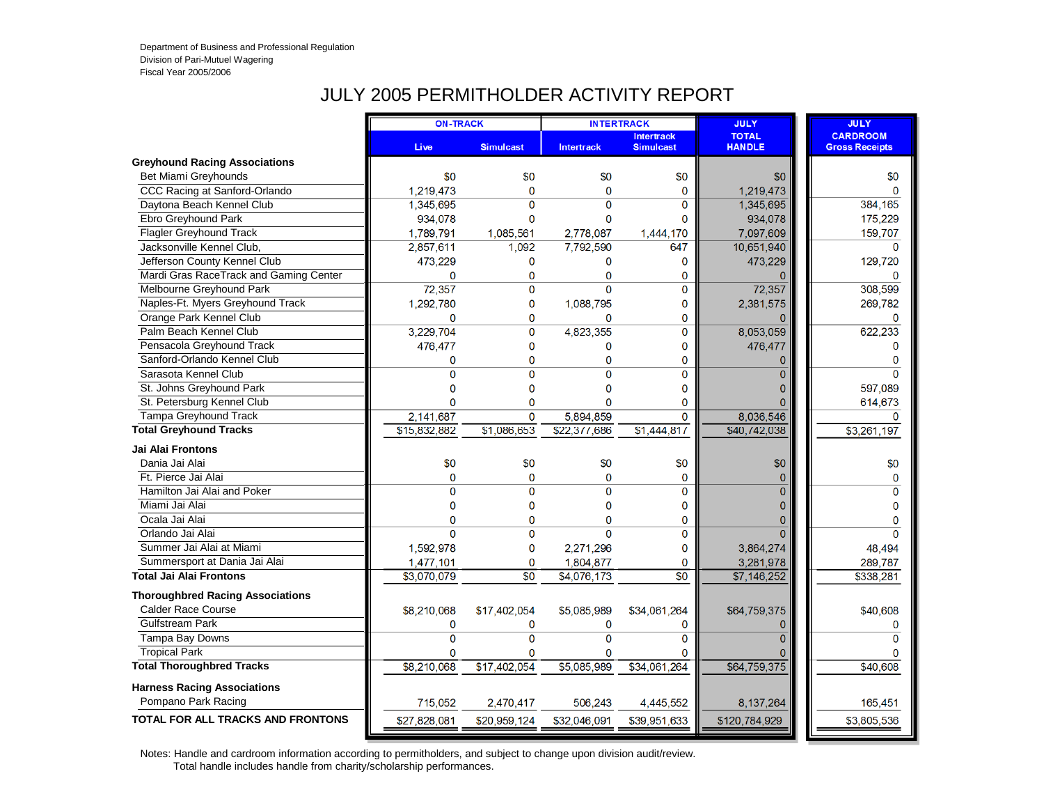#### JULY 2005 PERMITHOLDER ACTIVITY REPORT

|                                          | <b>ON-TRACK</b> |                  | <b>INTERTRACK</b> |                                       | <b>JULY</b>                   | <b>JULY</b>                              |
|------------------------------------------|-----------------|------------------|-------------------|---------------------------------------|-------------------------------|------------------------------------------|
|                                          | <b>Live</b>     | <b>Simulcast</b> | <b>Intertrack</b> | <b>Intertrack</b><br><b>Simulcast</b> | <b>TOTAL</b><br><b>HANDLE</b> | <b>CARDROOM</b><br><b>Gross Receipts</b> |
| <b>Greyhound Racing Associations</b>     |                 |                  |                   |                                       |                               |                                          |
| Bet Miami Greyhounds                     | \$0             | \$0              | \$0               | \$0                                   | \$0                           | \$0                                      |
| CCC Racing at Sanford-Orlando            | 1,219,473       | $\mathbf{0}$     | $\mathbf 0$       | 0                                     | 1,219,473                     | $\Omega$                                 |
| Daytona Beach Kennel Club                | 1,345,695       | $\overline{0}$   | $\Omega$          | $\Omega$                              | 1,345,695                     | 384,165                                  |
| Ebro Greyhound Park                      | 934,078         | 0                | $\mathbf 0$       | $\mathbf{0}$                          | 934,078                       | 175,229                                  |
| <b>Flagler Greyhound Track</b>           | 1.789.791       | 1,085,561        | 2,778,087         | 1,444,170                             | 7,097,609                     | 159,707                                  |
| Jacksonville Kennel Club,                | 2,857,611       | 1,092            | 7,792,590         | 647                                   | 10,651,940                    | $\Omega$                                 |
| Jefferson County Kennel Club             | 473,229         | $\mathbf{0}$     | 0                 | $\Omega$                              | 473,229                       | 129,720                                  |
| Mardi Gras RaceTrack and Gaming Center   | 0               | 0                | $\mathbf{0}$      | $\mathbf{0}$                          |                               |                                          |
| Melbourne Greyhound Park                 | 72,357          | 0                | $\Omega$          | $\overline{0}$                        | 72,357                        | 308,599                                  |
| Naples-Ft. Myers Greyhound Track         | 1,292,780       | $\mathbf 0$      | 1,088,795         | $\mathbf 0$                           | 2,381,575                     | 269,782                                  |
| Orange Park Kennel Club                  | $\mathbf 0$     | $\mathbf 0$      | $\mathbf 0$       | $\mathbf 0$                           | 0                             | $\Omega$                                 |
| Palm Beach Kennel Club                   | 3,229,704       | 0                | 4,823,355         | 0                                     | 8,053,059                     | 622,233                                  |
| Pensacola Greyhound Track                | 476,477         | 0                | $\mathbf 0$       | $\mathbf{0}$                          | 476,477                       | $\Omega$                                 |
| Sanford-Orlando Kennel Club              | 0               | 0                | $\mathbf 0$       | $\mathbf 0$                           | 0                             | $\Omega$                                 |
| Sarasota Kennel Club                     | 0               | $\overline{0}$   | $\Omega$          | 0                                     | 0                             | $\Omega$                                 |
| St. Johns Greyhound Park                 | O               | 0                | 0                 | $\Omega$                              | ი                             | 597,089                                  |
| St. Petersburg Kennel Club               | $\Omega$        | $\mathbf 0$      | $\mathbf{0}$      | $\mathbf{0}$                          | 0                             | 614,673                                  |
| Tampa Greyhound Track                    | 2,141,687       | $\mathbf 0$      | 5,894,859         | $\mathbf 0$                           | 8,036,546                     | $\Omega$                                 |
| <b>Total Greyhound Tracks</b>            | \$15,832,882    | \$1.086.653      | \$22,377,686      | \$1,444,817                           | \$40,742,038                  | \$3,261,197                              |
| <b>Jai Alai Frontons</b>                 |                 |                  |                   |                                       |                               |                                          |
| Dania Jai Alai                           | \$0             | \$0              | \$0               | \$0                                   | \$0                           | \$0                                      |
| Ft. Pierce Jai Alai                      | $\mathbf 0$     | 0                | $\Omega$          | 0                                     | $\mathbf{0}$                  | $\mathbf{0}$                             |
| Hamilton Jai Alai and Poker              | 0               | $\overline{0}$   | $\Omega$          | 0                                     | $\overline{0}$                | $\Omega$                                 |
| Miami Jai Alai                           | 0               | 0                | $\Omega$          | $\mathbf{0}$                          | 0                             | $\Omega$                                 |
| Ocala Jai Alai                           | 0               | $\mathbf{0}$     | $\mathbf{0}$      | $\mathbf 0$                           | 0                             | $\Omega$                                 |
| Orlando Jai Alai                         | 0               | $\mathbf{0}$     | $\mathbf{0}$      | $\mathbf 0$                           | $\overline{0}$                | $\Omega$                                 |
| Summer Jai Alai at Miami                 | 1,592,978       | 0                | 2,271,296         | $\mathbf{0}$                          | 3,864,274                     | 48,494                                   |
| Summersport at Dania Jai Alai            | 1,477,101       | $\mathbf 0$      | 1,804,877         | $\mathbf 0$                           | 3,281,978                     | 289,787                                  |
| <b>Total Jai Alai Frontons</b>           | \$3,070,079     | \$0              | \$4,076,173       | $\overline{50}$                       | \$7,146,252                   | \$338,281                                |
| <b>Thoroughbred Racing Associations</b>  |                 |                  |                   |                                       |                               |                                          |
| <b>Calder Race Course</b>                | \$8,210,068     | \$17,402,054     | \$5,085,989       | \$34,061,264                          | \$64,759,375                  | \$40,608                                 |
| <b>Gulfstream Park</b>                   | 0               | 0                | 0                 | 0                                     | 0                             | 0                                        |
| Tampa Bay Downs                          | $\overline{0}$  | $\Omega$         | $\Omega$          | $\Omega$                              | $\Omega$                      | $\Omega$                                 |
| <b>Tropical Park</b>                     | $\overline{0}$  | $\Omega$         | $\Omega$          | $\Omega$                              |                               |                                          |
| <b>Total Thoroughbred Tracks</b>         | \$8,210,068     | \$17,402,054     | \$5,085,989       | \$34,061,264                          | \$64,759,375                  | \$40,608                                 |
| <b>Harness Racing Associations</b>       |                 |                  |                   |                                       |                               |                                          |
| Pompano Park Racing                      | 715,052         | 2,470,417        | 506,243           | 4,445,552                             | 8,137,264                     | 165,451                                  |
| <b>TOTAL FOR ALL TRACKS AND FRONTONS</b> | \$27,828,081    | \$20,959,124     | \$32,046,091      | \$39,951,633                          | \$120,784,929                 | \$3,805,536                              |
|                                          |                 |                  |                   |                                       |                               |                                          |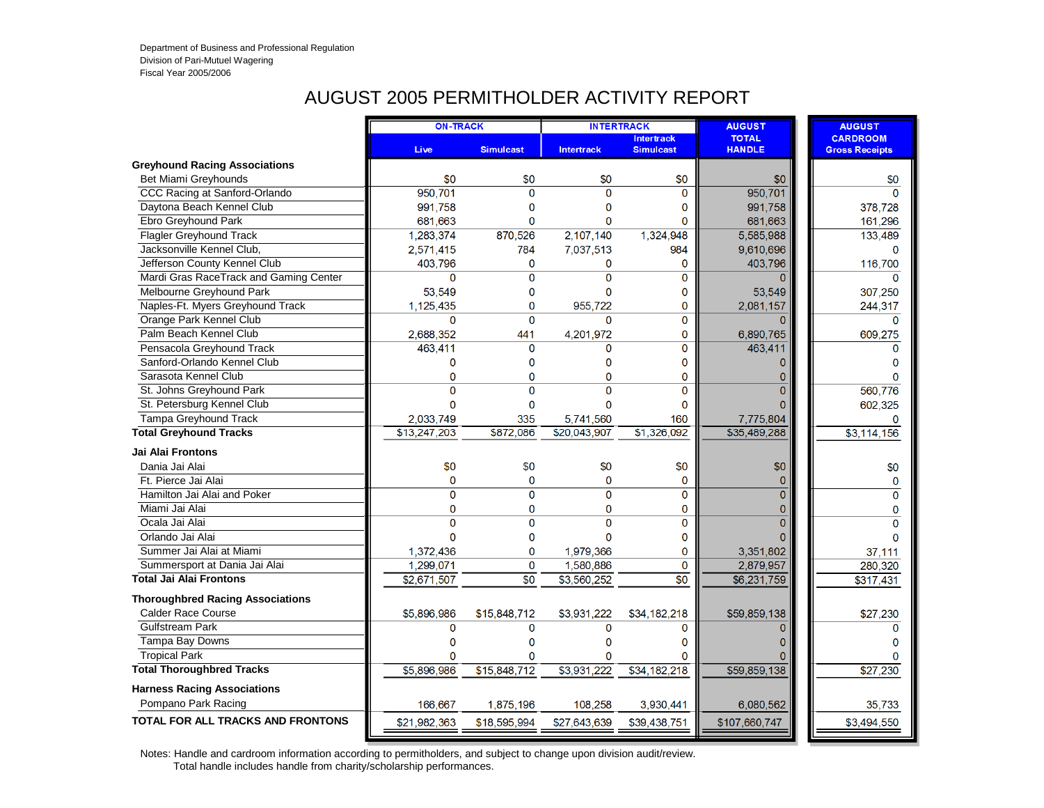### AUGUST 2005 PERMITHOLDER ACTIVITY REPORT

|                                          | <b>ON-TRACK</b> |                  |                   | <b>INTERTRACK</b>                     | <b>AUGUST</b>                 | <b>AUGUST</b>                            |
|------------------------------------------|-----------------|------------------|-------------------|---------------------------------------|-------------------------------|------------------------------------------|
|                                          | <b>Live</b>     | <b>Simulcast</b> | <b>Intertrack</b> | <b>Intertrack</b><br><b>Simulcast</b> | <b>TOTAL</b><br><b>HANDLE</b> | <b>CARDROOM</b><br><b>Gross Receipts</b> |
| <b>Greyhound Racing Associations</b>     |                 |                  |                   |                                       |                               |                                          |
| Bet Miami Greyhounds                     | \$0             | \$0              | \$0               | \$0                                   | \$0                           | \$0                                      |
| CCC Racing at Sanford-Orlando            | 950,701         | $\Omega$         | $\Omega$          | $\Omega$                              | 950,701                       | $\Omega$                                 |
| Daytona Beach Kennel Club                | 991,758         | $\mathbf 0$      | $\mathbf 0$       | 0                                     | 991,758                       | 378,728                                  |
| Ebro Greyhound Park                      | 681,663         | $\mathbf 0$      | $\mathbf{0}$      | $\mathbf{0}$                          | 681,663                       | 161,296                                  |
| <b>Flagler Greyhound Track</b>           | 1,283,374       | 870,526          | 2,107,140         | 1,324,948                             | 5,585,988                     | 133,489                                  |
| Jacksonville Kennel Club.                | 2,571,415       | 784              | 7,037,513         | 984                                   | 9,610,696                     | $\Omega$                                 |
| Jefferson County Kennel Club             | 403,796         | $\overline{0}$   | $\mathbf{0}$      | $\mathbf 0$                           | 403,796                       | 116,700                                  |
| Mardi Gras RaceTrack and Gaming Center   | $\overline{0}$  | 0                | $\overline{0}$    | $\mathbf{0}$                          | 0                             | $\Omega$                                 |
| Melbourne Greyhound Park                 | 53,549          | 0                | 0                 | 0                                     | 53,549                        | 307,250                                  |
| Naples-Ft. Myers Greyhound Track         | 1,125,435       | $\mathbf 0$      | 955,722           | $\mathbf{0}$                          | 2,081,157                     | 244,317                                  |
| Orange Park Kennel Club                  | 0               | $\mathbf 0$      | $\mathbf{O}$      | 0                                     | 0                             | $\Omega$                                 |
| Palm Beach Kennel Club                   | 2.688.352       | 441              | 4,201,972         | $\mathbf{0}$                          | 6,890,765                     | 609,275                                  |
| Pensacola Greyhound Track                | 463,411         | $\mathbf 0$      | $\mathbf{0}$      | $\mathbf 0$                           | 463,411                       | 0                                        |
| Sanford-Orlando Kennel Club              | 0               | $\mathbf{0}$     | $\mathbf 0$       | $\Omega$                              | $\mathbf{0}$                  | $\Omega$                                 |
| Sarasota Kennel Club                     | 0               | $\mathbf{0}$     | $\Omega$          | 0                                     | 0                             |                                          |
| St. Johns Greyhound Park                 | 0               | $\overline{0}$   | $\mathbf 0$       | $\mathbf 0$                           | Ō                             | 560,776                                  |
| St. Petersburg Kennel Club               | $\overline{0}$  | $\mathbf 0$      | $\mathbf 0$       | $\Omega$                              | 0                             | 602,325                                  |
| Tampa Greyhound Track                    | 2,033,749       | 335              | 5,741,560         | 160                                   | 7,775,804                     | $\Omega$                                 |
| <b>Total Greyhound Tracks</b>            | \$13,247,203    | \$872,086        | \$20,043,907      | \$1,326,092                           | \$35,489,288                  | \$3,114,156                              |
| <b>Jai Alai Frontons</b>                 |                 |                  |                   |                                       |                               |                                          |
| Dania Jai Alai                           | \$0             | \$0              | \$0               | \$0                                   | \$0                           | \$0                                      |
| Ft. Pierce Jai Alai                      | 0               | $\Omega$         | $\Omega$          | $\Omega$                              | $\Omega$                      | $\mathbf 0$                              |
| Hamilton Jai Alai and Poker              | 0               | $\overline{0}$   | $\mathbf{0}$      | $\mathbf 0$                           | Ō                             | $\Omega$                                 |
| Miami Jai Alai                           | 0               | 0                | $\mathbf 0$       | 0                                     | 0                             | $\mathbf 0$                              |
| Ocala Jai Alai                           | $\overline{0}$  | $\overline{0}$   | $\Omega$          | $\mathbf{0}$                          | $\overline{0}$                | $\mathbf{0}$                             |
| Orlando Jai Alai                         | $\Omega$        | $\mathbf{0}$     | $\Omega$          | $\Omega$                              |                               | $\Omega$                                 |
| Summer Jai Alai at Miami                 | 1,372,436       | $\mathbf{0}$     | 1,979,366         | $\bf{0}$                              | 3,351,802                     | 37,111                                   |
| Summersport at Dania Jai Alai            | 1,299,071       | $\mathbf{0}$     | 1,580,886         | $\mathbf 0$                           | 2,879,957                     | 280,320                                  |
| <b>Total Jai Alai Frontons</b>           | \$2,671,507     | $\overline{30}$  | \$3,560,252       | $\overline{50}$                       | \$6,231,759                   | \$317,431                                |
| <b>Thoroughbred Racing Associations</b>  |                 |                  |                   |                                       |                               |                                          |
| <b>Calder Race Course</b>                | \$5,896,986     | \$15,848,712     | \$3,931,222       | \$34,182,218                          | \$59,859,138                  | \$27,230                                 |
| <b>Gulfstream Park</b>                   | 0               | $\mathbf{0}$     | $\mathbf{0}$      | $\Omega$                              | $\overline{0}$                | $\Omega$                                 |
| Tampa Bay Downs                          | 0               | 0                | 0                 | $\Omega$                              | 0                             | $\Omega$                                 |
| <b>Tropical Park</b>                     | 0               | $\mathbf{0}$     | $\mathbf{0}$      | $\Omega$                              | ი                             | $\Omega$                                 |
| <b>Total Thoroughbred Tracks</b>         | \$5,896,986     | \$15,848,712     | \$3,931,222       | \$34,182,218                          | \$59,859,138                  | \$27,230                                 |
| <b>Harness Racing Associations</b>       |                 |                  |                   |                                       |                               |                                          |
| Pompano Park Racing                      | 166,667         | 1,875,196        | 108,258           | 3,930,441                             | 6,080,562                     | 35,733                                   |
| <b>TOTAL FOR ALL TRACKS AND FRONTONS</b> | \$21,982,363    | \$18,595,994     | \$27,643,639      | \$39,438,751                          | \$107,660,747                 | \$3,494,550                              |
|                                          |                 |                  |                   |                                       |                               |                                          |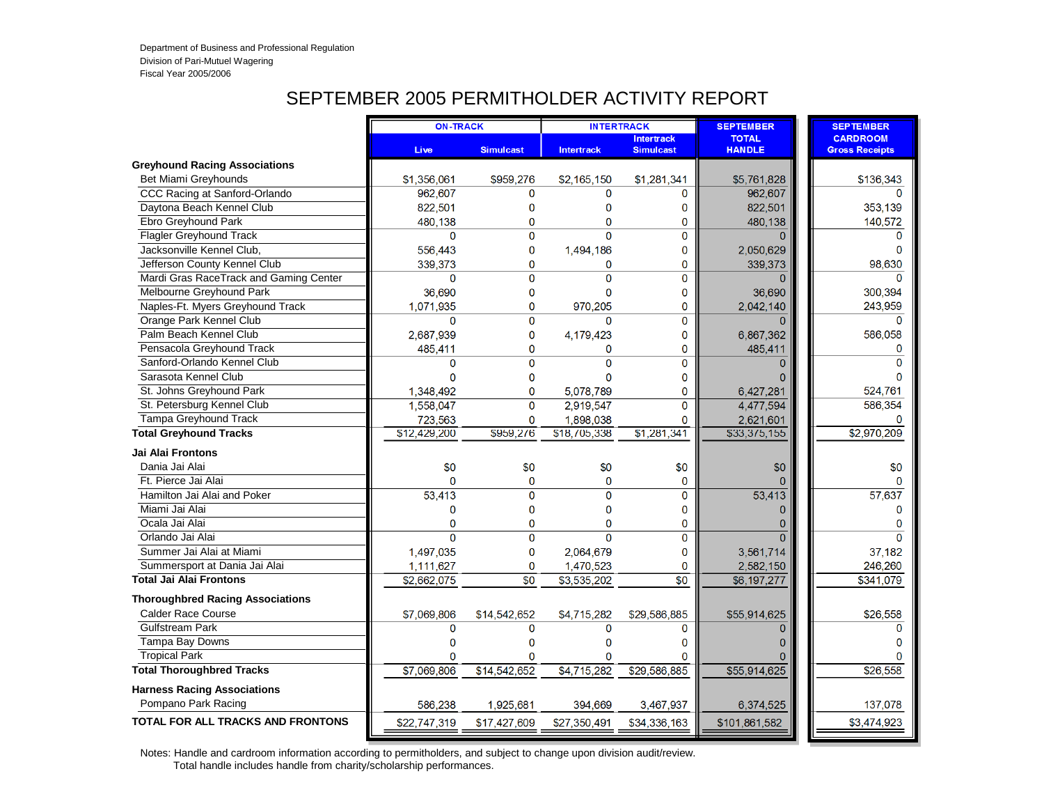# SEPTEMBER 2005 PERMITHOLDER ACTIVITY REPORT

|                                          | <b>ON-TRACK</b> |                  | <b>INTERTRACK</b> |                                       | <b>SEPTEMBER</b>              | <b>SEPTEMBER</b>                         |
|------------------------------------------|-----------------|------------------|-------------------|---------------------------------------|-------------------------------|------------------------------------------|
|                                          | Live            | <b>Simulcast</b> | <b>Intertrack</b> | <b>Intertrack</b><br><b>Simulcast</b> | <b>TOTAL</b><br><b>HANDLE</b> | <b>CARDROOM</b><br><b>Gross Receipts</b> |
| <b>Greyhound Racing Associations</b>     |                 |                  |                   |                                       |                               |                                          |
| Bet Miami Greyhounds                     | \$1,356,061     | \$959,276        | \$2,165,150       | \$1,281,341                           | \$5,761,828                   | \$136,343                                |
| CCC Racing at Sanford-Orlando            | 962,607         | $\Omega$         | $\Omega$          | 0                                     | 962,607                       |                                          |
| Daytona Beach Kennel Club                | 822,501         | 0                | 0                 | 0                                     | 822,501                       | 353,139                                  |
| Ebro Greyhound Park                      | 480,138         | $\overline{0}$   | $\mathbf{0}$      | 0                                     | 480,138                       | 140,572                                  |
| <b>Flagler Greyhound Track</b>           | 0               | $\overline{0}$   | $\Omega$          | 0                                     | $\Omega$                      | $\Omega$                                 |
| Jacksonville Kennel Club,                | 556,443         | 0                | 1,494,186         | 0                                     | 2,050,629                     | O                                        |
| Jefferson County Kennel Club             | 339,373         | $\overline{0}$   | $\mathbf{0}$      | 0                                     | 339,373                       | 98.630                                   |
| Mardi Gras RaceTrack and Gaming Center   | 0               | $\overline{0}$   | $\overline{0}$    | 0                                     | $\Omega$                      | $\Omega$                                 |
| Melbourne Greyhound Park                 | 36,690          | 0                | $\mathbf 0$       | 0                                     | 36,690                        | 300,394                                  |
| Naples-Ft. Myers Greyhound Track         | 1,071,935       | $\overline{0}$   | 970,205           | 0                                     | 2,042,140                     | 243,959                                  |
| Orange Park Kennel Club                  | $\mathbf{0}$    | $\mathbf{O}$     | $\Omega$          | 0                                     | $\Omega$                      | $\Omega$                                 |
| Palm Beach Kennel Club                   | 2,687,939       | 0                | 4,179,423         | 0                                     | 6,867,362                     | 586,058                                  |
| Pensacola Greyhound Track                | 485,411         | $\overline{0}$   | $\mathbf 0$       | 0                                     | 485,411                       | $\mathbf 0$                              |
| Sanford-Orlando Kennel Club              | $\Omega$        | $\overline{0}$   | $\Omega$          | 0                                     | $\Omega$                      | $\Omega$                                 |
| Sarasota Kennel Club                     | $\mathbf{0}$    | 0                | $\mathbf{0}$      | 0                                     |                               | $\Omega$                                 |
| St. Johns Greyhound Park                 | 1,348,492       | $\overline{0}$   | 5,078,789         | 0                                     | 6,427,281                     | 524,761                                  |
| St. Petersburg Kennel Club               | 1,558,047       | $\Omega$         | 2,919,547         | 0                                     | 4,477,594                     | 586.354                                  |
| Tampa Greyhound Track                    | 723,563         | $\mathbf 0$      | 1,898,038         | $\Omega$                              | 2,621,601                     |                                          |
| <b>Total Greyhound Tracks</b>            | \$12,429,200    | \$959,276        | \$18,705,338      | \$1,281,341                           | \$33,375,155                  | \$2,970,209                              |
| Jai Alai Frontons                        |                 |                  |                   |                                       |                               |                                          |
| Dania Jai Alai                           | \$0             | \$0              | \$0               | \$0                                   | \$0                           | \$0                                      |
| Ft. Pierce Jai Alai                      | $\Omega$        | $\mathbf{0}$     | $\overline{0}$    | 0                                     |                               | $\Omega$                                 |
| Hamilton Jai Alai and Poker              | 53,413          | $\overline{0}$   | $\overline{0}$    | 0                                     | 53,413                        | 57,637                                   |
| Miami Jai Alai                           | 0               | $\overline{0}$   | $\mathbf{0}$      | 0                                     | $\Omega$                      | $\Omega$                                 |
| Ocala Jai Alai                           | $\mathbf 0$     | 0                | $\mathbf{0}$      | 0                                     | $\Omega$                      | 0                                        |
| Orlando Jai Alai                         | $\Omega$        | 0                | $\overline{0}$    | 0                                     | $\Omega$                      | $\Omega$                                 |
| Summer Jai Alai at Miami                 | 1,497,035       | 0                | 2,064,679         | 0                                     | 3,561,714                     | 37,182                                   |
| Summersport at Dania Jai Alai            | 1,111,627       | 0                | 1,470,523         | 0                                     | 2,582,150                     | 246,260                                  |
| <b>Total Jai Alai Frontons</b>           | \$2,662,075     | \$0              | \$3,535,202       | $\overline{50}$                       | \$6,197,277                   | \$341,079                                |
| <b>Thoroughbred Racing Associations</b>  |                 |                  |                   |                                       |                               |                                          |
| Calder Race Course                       | \$7,069,806     | \$14,542,652     | \$4,715,282       | \$29.586.885                          | \$55,914,625                  | \$26,558                                 |
| <b>Gulfstream Park</b>                   | 0               | $\Omega$         | $\mathbf{0}$      | 0                                     | $\Omega$                      | $\Omega$                                 |
| Tampa Bay Downs                          | $\Omega$        | 0                | $\mathbf 0$       | 0                                     | 0                             | n                                        |
| <b>Tropical Park</b>                     | 0               | $\Omega$         | $\mathbf{0}$      | $\mathbf{0}$                          |                               | $\Omega$                                 |
| <b>Total Thoroughbred Tracks</b>         | \$7,069,806     | \$14,542,652     | \$4,715,282       | \$29,586,885                          | \$55,914,625                  | \$26,558                                 |
| <b>Harness Racing Associations</b>       |                 |                  |                   |                                       |                               |                                          |
| Pompano Park Racing                      | 586,238         | 1,925,681        | 394,669           | 3,467,937                             | 6,374,525                     | 137,078                                  |
| <b>TOTAL FOR ALL TRACKS AND FRONTONS</b> | \$22,747,319    | \$17,427,609     | \$27,350,491      | \$34,336,163                          | \$101,861,582                 | \$3,474,923                              |
|                                          |                 |                  |                   |                                       |                               |                                          |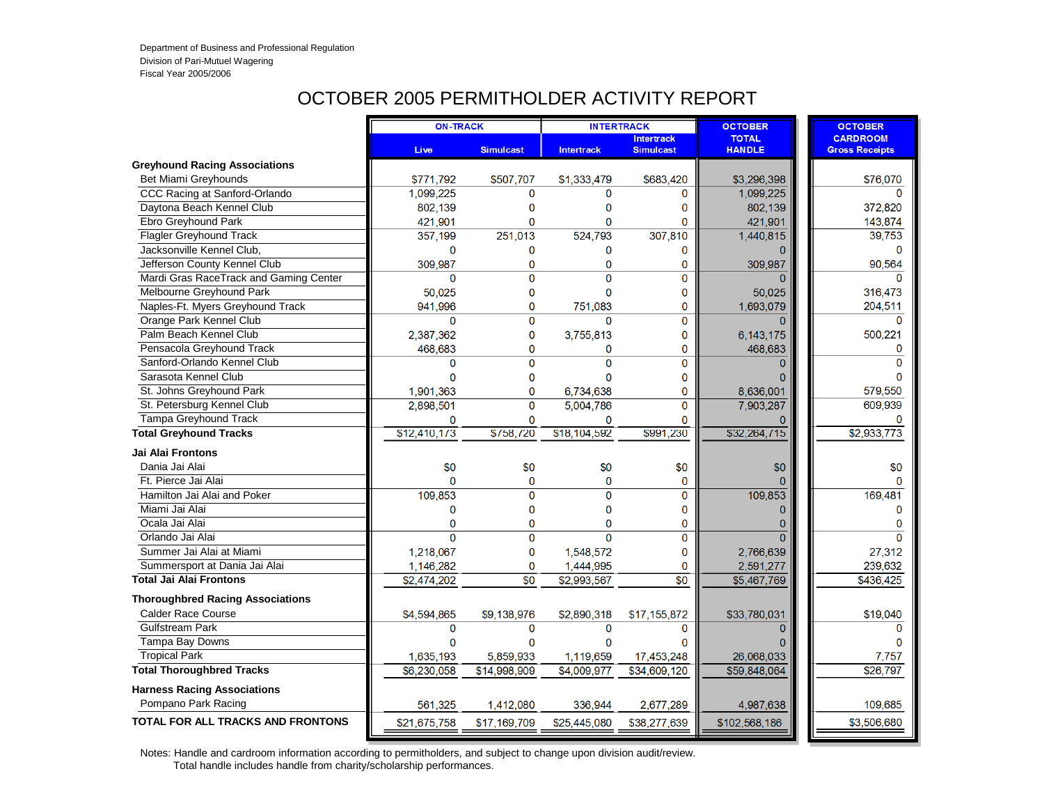# OCTOBER 2005 PERMITHOLDER ACTIVITY REPORT

|                                          | <b>ON-TRACK</b> |                  |                   | <b>INTERTRACK</b>                     | <b>OCTOBER</b>                | <b>OCTOBER</b>                           |
|------------------------------------------|-----------------|------------------|-------------------|---------------------------------------|-------------------------------|------------------------------------------|
|                                          | <b>Live</b>     | <b>Simulcast</b> | <b>Intertrack</b> | <b>Intertrack</b><br><b>Simulcast</b> | <b>TOTAL</b><br><b>HANDLE</b> | <b>CARDROOM</b><br><b>Gross Receipts</b> |
| <b>Greyhound Racing Associations</b>     |                 |                  |                   |                                       |                               |                                          |
| Bet Miami Greyhounds                     | \$771,792       | \$507,707        | \$1,333,479       | \$683,420                             | \$3,296,398                   | \$76,070                                 |
| CCC Racing at Sanford-Orlando            | 1,099,225       | $\Omega$         | $\Omega$          | $\Omega$                              | 1,099,225                     | $\Omega$                                 |
| Daytona Beach Kennel Club                | 802,139         | $\mathbf 0$      | 0                 | 0                                     | 802,139                       | 372,820                                  |
| Ebro Greyhound Park                      | 421,901         | $\Omega$         | $\mathbf{0}$      | $\Omega$                              | 421,901                       | 143,874                                  |
| <b>Flagler Greyhound Track</b>           | 357,199         | 251,013          | 524,793           | 307,810                               | 1,440,815                     | 39,753                                   |
| Jacksonville Kennel Club.                | 0               | 0                | $\mathbf 0$       | 0                                     |                               | $\Omega$                                 |
| Jefferson County Kennel Club             | 309,987         | $\mathbf 0$      | 0                 | 0                                     | 309,987                       | 90,564                                   |
| Mardi Gras RaceTrack and Gaming Center   | 0               | $\Omega$         | $\Omega$          | $\overline{0}$                        |                               | $\Omega$                                 |
| Melbourne Greyhound Park                 | 50,025          | 0                | $\mathbf{0}$      | 0                                     | 50,025                        | 316,473                                  |
| Naples-Ft. Myers Greyhound Track         | 941,996         | $\mathbf 0$      | 751,083           | 0                                     | 1,693,079                     | 204,511                                  |
| Orange Park Kennel Club                  | $\mathbf{0}$    | $\overline{0}$   | $\Omega$          | 0                                     | $\Omega$                      | $\Omega$                                 |
| Palm Beach Kennel Club                   | 2,387,362       | $\overline{0}$   | 3,755,813         | 0                                     | 6, 143, 175                   | 500,221                                  |
| Pensacola Greyhound Track                | 468,683         | 0                | 0                 | 0                                     | 468,683                       | 0                                        |
| Sanford-Orlando Kennel Club              | $\mathbf 0$     | $\Omega$         | $\overline{0}$    | 0                                     | $\Omega$                      | $\Omega$                                 |
| Sarasota Kennel Club                     | $\Omega$        | 0                | $\Omega$          | 0                                     |                               |                                          |
| St. Johns Greyhound Park                 | 1,901,363       | 0                | 6,734,638         | 0                                     | 8,636,001                     | 579,550                                  |
| St. Petersburg Kennel Club               | 2,898,501       | 0                | 5,004,786         | 0                                     | 7,903,287                     | 609,939                                  |
| <b>Tampa Greyhound Track</b>             | 0               | $\Omega$         | $\bf{0}$          | 0                                     |                               |                                          |
| <b>Total Greyhound Tracks</b>            | \$12,410,173    | \$758,720        | \$18,104,592      | \$991,230                             | \$32,264,715                  | \$2,933,773                              |
| Jai Alai Frontons                        |                 |                  |                   |                                       |                               |                                          |
| Dania Jai Alai                           | \$0             | \$0              | \$0               | \$0                                   | \$0                           | \$0                                      |
| Ft. Pierce Jai Alai                      | $\Omega$        | $\mathbf{0}$     | $\mathbf{0}$      | 0                                     |                               | $\Omega$                                 |
| Hamilton Jai Alai and Poker              | 109,853         | $\overline{0}$   | $\overline{0}$    | $\overline{0}$                        | 109,853                       | 169,481                                  |
| Miami Jai Alai                           | 0               | 0                | $\mathbf 0$       | 0                                     | $\Omega$                      | 0                                        |
| Ocala Jai Alai                           | 0               | 0                | $\mathbf{0}$      | 0                                     | $\Omega$                      | $\mathbf{0}$                             |
| Orlando Jai Alai                         | $\overline{0}$  | $\overline{0}$   | $\Omega$          | 0                                     | $\Omega$                      | $\Omega$                                 |
| Summer Jai Alai at Miami                 | 1,218,067       | 0                | 1,548,572         | 0                                     | 2,766,639                     | 27,312                                   |
| Summersport at Dania Jai Alai            | 1,146,282       | 0                | 1,444,995         | 0                                     | 2,591,277                     | 239,632                                  |
| <b>Total Jai Alai Frontons</b>           | \$2,474,202     | \$0              | \$2,993,567       | $\overline{50}$                       | \$5,467,769                   | \$436,425                                |
| <b>Thoroughbred Racing Associations</b>  |                 |                  |                   |                                       |                               |                                          |
| <b>Calder Race Course</b>                | \$4,594,865     | \$9,138,976      | \$2,890,318       | \$17,155,872                          | \$33,780,031                  | \$19,040                                 |
| <b>Gulfstream Park</b>                   | 0               | 0                | $\mathbf 0$       | 0                                     | $\Omega$                      | $\Omega$                                 |
| Tampa Bay Downs                          | $\Omega$        | 0                | $\Omega$          | n                                     |                               |                                          |
| <b>Tropical Park</b>                     | 1,635,193       | 5,859,933        | 1,119,659         | 17,453,248                            | 26,068,033                    | 7,757                                    |
| <b>Total Thoroughbred Tracks</b>         | \$6,230,058     | \$14,998,909     | \$4,009,977       | \$34,609,120                          | \$59,848,064                  | \$26,797                                 |
| <b>Harness Racing Associations</b>       |                 |                  |                   |                                       |                               |                                          |
| Pompano Park Racing                      | 561,325         | 1,412,080        | 336,944           | 2,677,289                             | 4,987,638                     | 109,685                                  |
| <b>TOTAL FOR ALL TRACKS AND FRONTONS</b> | \$21,675,758    | \$17,169,709     | \$25,445,080      | \$38,277,639                          | \$102,568,186                 | \$3,506,680                              |
|                                          |                 |                  |                   |                                       |                               |                                          |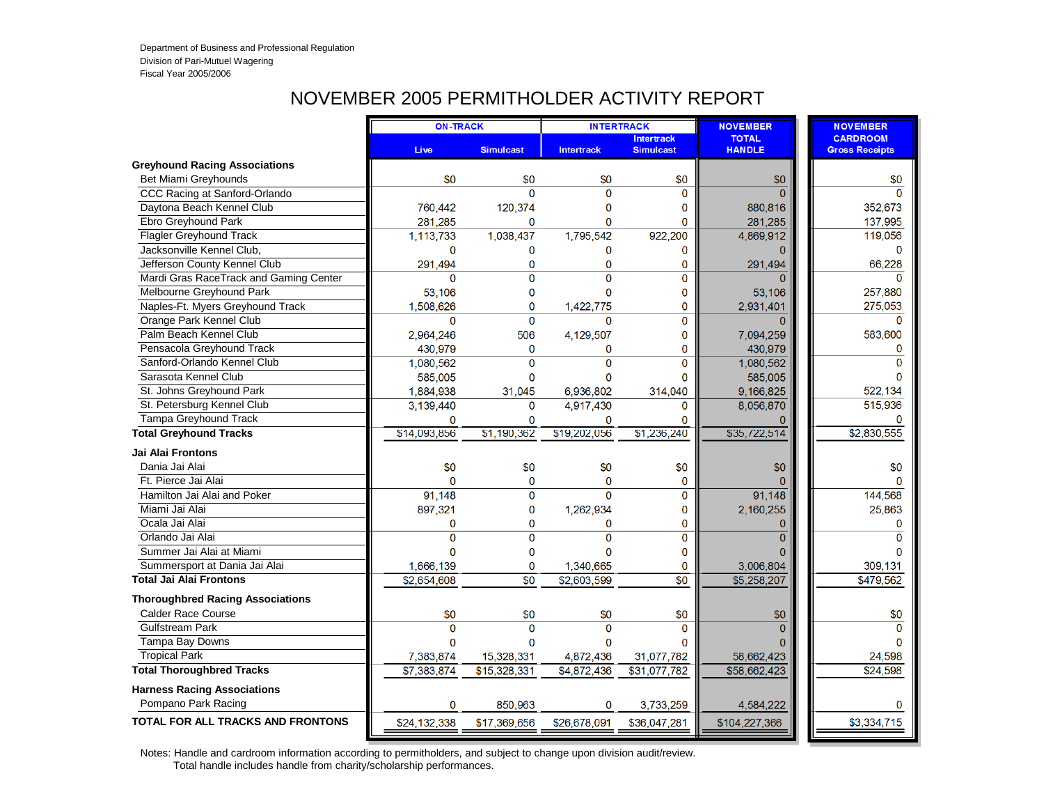## NOVEMBER 2005 PERMITHOLDER ACTIVITY REPORT

|                                          | <b>ON-TRACK</b> |                  | <b>INTERTRACK</b> |                                       | <b>NOVEMBER</b>               | <b>NOVEMBER</b>                          |
|------------------------------------------|-----------------|------------------|-------------------|---------------------------------------|-------------------------------|------------------------------------------|
|                                          | Live            | <b>Simulcast</b> | <b>Intertrack</b> | <b>Intertrack</b><br><b>Simulcast</b> | <b>TOTAL</b><br><b>HANDLE</b> | <b>CARDROOM</b><br><b>Gross Receipts</b> |
| Greyhound Racing Associations            |                 |                  |                   |                                       |                               |                                          |
| Bet Miami Greyhounds                     | \$0             | \$0              | \$0               | \$0                                   | \$0                           | \$0                                      |
| CCC Racing at Sanford-Orlando            |                 | $\Omega$         | $\Omega$          | 0                                     | $\Omega$                      | $\Omega$                                 |
| Daytona Beach Kennel Club                | 760,442         | 120,374          | $\mathbf 0$       | 0                                     | 880,816                       | 352,673                                  |
| Ebro Greyhound Park                      | 281,285         | $\Omega$         | $\mathbf{0}$      | 0                                     | 281,285                       | 137,995                                  |
| Flagler Greyhound Track                  | 1,113,733       | 1,038,437        | 1,795,542         | 922,200                               | 4,869,912                     | 119,056                                  |
| Jacksonville Kennel Club.                | $\mathbf 0$     | 0                | 0                 | 0                                     | 0                             | $\Omega$                                 |
| Jefferson County Kennel Club             | 291,494         | $\overline{0}$   | $\mathbf{0}$      | 0                                     | 291,494                       | 66.228                                   |
| Mardi Gras RaceTrack and Gaming Center   | 0               | $\Omega$         | $\Omega$          | $\overline{0}$                        |                               | $\Omega$                                 |
| Melbourne Greyhound Park                 | 53,106          | $\mathbf 0$      | $\mathbf{0}$      | 0                                     | 53,106                        | 257,880                                  |
| Naples-Ft. Myers Greyhound Track         | 1,508,626       | $\mathbf 0$      | 1,422,775         | 0                                     | 2,931,401                     | 275,053                                  |
| Orange Park Kennel Club                  | $\mathbf{0}$    | $\Omega$         | $\mathbf 0$       | 0                                     | $\Omega$                      | $\Omega$                                 |
| Palm Beach Kennel Club                   | 2,964,246       | 506              | 4,129,507         | 0                                     | 7,094,259                     | 583,600                                  |
| Pensacola Greyhound Track                | 430,979         | $\mathbf 0$      | $\mathbf 0$       | 0                                     | 430,979                       | $\Omega$                                 |
| Sanford-Orlando Kennel Club              | 1,080,562       | $\Omega$         | $\mathbf 0$       | 0                                     | 1,080,562                     | $\mathbf{0}$                             |
| Sarasota Kennel Club                     | 585,005         | $\mathbf{0}$     | $\Omega$          | 0                                     | 585,005                       | $\Omega$                                 |
| St. Johns Greyhound Park                 | 1,884,938       | 31,045           | 6,936,802         | 314,040                               | 9,166,825                     | 522,134                                  |
| St. Petersburg Kennel Club               | 3,139,440       | $\Omega$         | 4,917,430         | $\Omega$                              | 8,056,870                     | 515,936                                  |
| Tampa Greyhound Track                    | 0               | $\Omega$         | 0                 | 0                                     |                               |                                          |
| <b>Total Greyhound Tracks</b>            | \$14,093,856    | \$1,190,362      | \$19,202,056      | \$1,236,240                           | \$35,722,514                  | \$2,830,555                              |
| <b>Jai Alai Frontons</b>                 |                 |                  |                   |                                       |                               |                                          |
| Dania Jai Alai                           | \$0             | \$0              | \$0               | \$0                                   | \$0                           | \$0                                      |
| Ft. Pierce Jai Alai                      | $\Omega$        | $\mathbf{0}$     | $\mathbf{0}$      | $\mathbf 0$                           |                               | $\Omega$                                 |
| Hamilton Jai Alai and Poker              | 91,148          | $\overline{0}$   | $\Omega$          | 0                                     | 91,148                        | 144,568                                  |
| Miami Jai Alai                           | 897,321         | 0                | 1,262,934         | 0                                     | 2,160,255                     | 25,863                                   |
| Ocala Jai Alai                           | 0               | 0                | $\mathbf 0$       | 0                                     |                               | 0                                        |
| Orlando Jai Alai                         | $\overline{0}$  | 0                | $\overline{0}$    | 0                                     | $\Omega$                      | $\Omega$                                 |
| Summer Jai Alai at Miami                 | $\mathbf{0}$    | $\mathbf{0}$     | $\mathbf{0}$      | 0                                     |                               | n                                        |
| Summersport at Dania Jai Alai            | 1,666,139       | 0                | 1,340,665         | 0                                     | 3,006,804                     | 309,131                                  |
| <b>Total Jai Alai Frontons</b>           | \$2,654,608     | $\overline{50}$  | \$2,603,599       | $\overline{50}$                       | \$5,258,207                   | \$479,562                                |
| <b>Thoroughbred Racing Associations</b>  |                 |                  |                   |                                       |                               |                                          |
| <b>Calder Race Course</b>                | \$0             | \$0              | \$0               | \$0                                   | \$0                           | \$0                                      |
| <b>Gulfstream Park</b>                   | $\mathbf 0$     | $\Omega$         | $\Omega$          | $\Omega$                              | $\Omega$                      | $\Omega$                                 |
| Tampa Bay Downs                          | 0               | $\Omega$         | $\Omega$          | 0                                     |                               | $\Omega$                                 |
| <b>Tropical Park</b>                     | 7,383,874       | 15,328,331       | 4,872,436         | 31,077,782                            | 58,662,423                    | 24,598                                   |
| <b>Total Thoroughbred Tracks</b>         | \$7,383,874     | \$15,328,331     | \$4,872,436       | \$31,077,782                          | \$58,662,423                  | \$24,598                                 |
| <b>Harness Racing Associations</b>       |                 |                  |                   |                                       |                               |                                          |
| Pompano Park Racing                      | 0               | 850.963          | $\mathbf 0$       | 3,733,259                             | 4,584,222                     | $\Omega$                                 |
| <b>TOTAL FOR ALL TRACKS AND FRONTONS</b> | \$24,132,338    | \$17,369,656     | \$26,678,091      | \$36,047,281                          | \$104,227,366                 | \$3,334,715                              |
|                                          |                 |                  |                   |                                       |                               |                                          |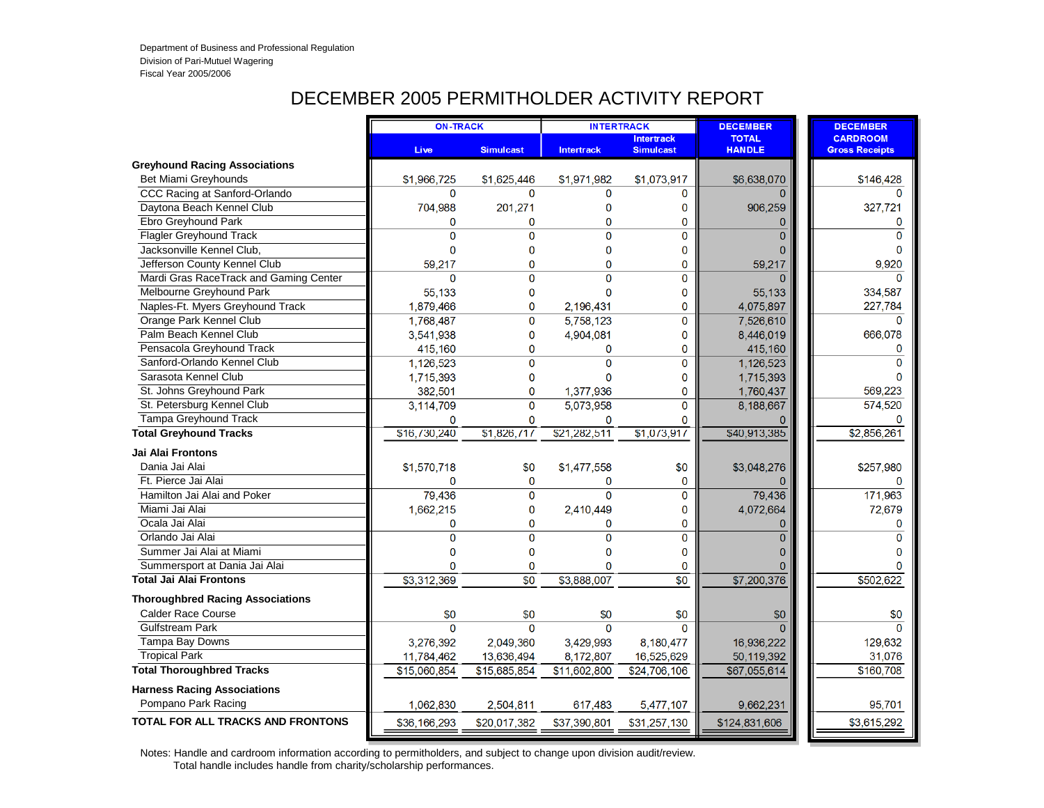# DECEMBER 2005 PERMITHOLDER ACTIVITY REPORT

|                                         | <b>ON-TRACK</b> |                  | <b>INTERTRACK</b> |                                       | <b>DECEMBER</b>               | <b>DECEMBER</b>                          |
|-----------------------------------------|-----------------|------------------|-------------------|---------------------------------------|-------------------------------|------------------------------------------|
|                                         | <b>Live</b>     | <b>Simulcast</b> | <b>Intertrack</b> | <b>Intertrack</b><br><b>Simulcast</b> | <b>TOTAL</b><br><b>HANDLE</b> | <b>CARDROOM</b><br><b>Gross Receipts</b> |
| <b>Greyhound Racing Associations</b>    |                 |                  |                   |                                       |                               |                                          |
| Bet Miami Greyhounds                    | \$1,966,725     | \$1,625,446      | \$1,971,982       | \$1,073,917                           | \$6,638,070                   | \$146,428                                |
| CCC Racing at Sanford-Orlando           | $\Omega$        | $\Omega$         | $\Omega$          | $\Omega$                              |                               | n                                        |
| Daytona Beach Kennel Club               | 704,988         | 201,271          | $\bf{0}$          | 0                                     | 906,259                       | 327,721                                  |
| Ebro Greyhound Park                     | $\mathbf 0$     | $\Omega$         | $\mathbf 0$       | $\mathbf 0$                           | $\Omega$                      | $\mathbf 0$                              |
| Flagler Greyhound Track                 | $\Omega$        | $\Omega$         | $\Omega$          | $\Omega$                              | $\Omega$                      | $\Omega$                                 |
| Jacksonville Kennel Club.               | $\mathbf 0$     | 0                | $\mathbf 0$       | 0                                     | $\Omega$                      | $\Omega$                                 |
| Jefferson County Kennel Club            | 59,217          | 0                | $\mathbf{0}$      | $\mathbf{0}$                          | 59,217                        | 9.920                                    |
| Mardi Gras RaceTrack and Gaming Center  | $\mathbf{0}$    | $\mathbf{0}$     | $\Omega$          | $\mathbf 0$                           |                               | $\Omega$                                 |
| Melbourne Greyhound Park                | 55,133          | 0                | $\mathbf{0}$      | $\mathbf 0$                           | 55,133                        | 334,587                                  |
| Naples-Ft. Myers Greyhound Track        | 1,879,466       | $\mathbf{0}$     | 2,196,431         | $\mathbf 0$                           | 4,075,897                     | 227,784                                  |
| Orange Park Kennel Club                 | 1,768,487       | 0                | 5,758,123         | $\mathbf 0$                           | 7,526,610                     | $\Omega$                                 |
| Palm Beach Kennel Club                  | 3,541,938       | 0                | 4,904,081         | 0                                     | 8,446,019                     | 666,078                                  |
| Pensacola Greyhound Track               | 415,160         | 0                | $\mathbf 0$       | $\mathbf 0$                           | 415,160                       | $\mathbf 0$                              |
| Sanford-Orlando Kennel Club             | 1,126,523       | 0                | $\mathbf 0$       | 0                                     | 1,126,523                     | $\Omega$                                 |
| Sarasota Kennel Club                    | 1,715,393       | 0                | $\Omega$          | 0                                     | 1,715,393                     | $\Omega$                                 |
| St. Johns Greyhound Park                | 382,501         | 0                | 1,377,936         | 0                                     | 1,760,437                     | 569,223                                  |
| St. Petersburg Kennel Club              | 3,114,709       | $\overline{0}$   | 5,073,958         | $\mathbf 0$                           | 8,188,667                     | 574,520                                  |
| Tampa Greyhound Track                   | $\mathbf 0$     | $\Omega$         | $\mathbf 0$       | $\Omega$                              |                               | $\Omega$                                 |
| <b>Total Greyhound Tracks</b>           | \$16,730,240    | \$1,826,717      | \$21,282,511      | \$1,073,917                           | \$40,913,385                  | \$2,856,261                              |
| <b>Jai Alai Frontons</b>                |                 |                  |                   |                                       |                               |                                          |
| Dania Jai Alai                          | \$1,570,718     | \$0              | \$1,477,558       | \$0                                   | \$3,048,276                   | \$257,980                                |
| Ft. Pierce Jai Alai                     | $\mathbf{0}$    | $\mathbf 0$      | $\mathbf{0}$      | 0                                     |                               | $\Omega$                                 |
| Hamilton Jai Alai and Poker             | 79,436          | $\Omega$         | $\Omega$          | $\overline{0}$                        | 79,436                        | 171,963                                  |
| Miami Jai Alai                          | 1,662,215       | 0                | 2,410,449         | 0                                     | 4,072,664                     | 72,679                                   |
| Ocala Jai Alai                          | $\mathbf{0}$    | 0                | $\mathbf 0$       | $\mathbf 0$                           | $\Omega$                      | 0                                        |
| Orlando Jai Alai                        | $\overline{0}$  | $\overline{0}$   | $\overline{0}$    | $\mathbf 0$                           | $\Omega$                      | $\Omega$                                 |
| Summer Jai Alai at Miami                | $\mathbf 0$     | 0                | $\mathbf{0}$      | $\bf{0}$                              | $\Omega$                      | $\Omega$                                 |
| Summersport at Dania Jai Alai           | $\Omega$        | 0                | $\mathbf{0}$      | 0                                     |                               |                                          |
| <b>Total Jai Alai Frontons</b>          | \$3,312,369     | $\overline{50}$  | \$3,888,007       | $\overline{50}$                       | \$7,200,376                   | \$502,622                                |
| <b>Thoroughbred Racing Associations</b> |                 |                  |                   |                                       |                               |                                          |
| <b>Calder Race Course</b>               | \$0             | \$0              | \$0               | \$0                                   | \$0                           | \$0                                      |
| Gulfstream Park                         | $\Omega$        | $\Omega$         | $\Omega$          | $\Omega$                              |                               | $\Omega$                                 |
| Tampa Bay Downs                         | 3,276,392       | 2,049,360        | 3,429,993         | 8,180,477                             | 16,936,222                    | 129,632                                  |
| <b>Tropical Park</b>                    | 11,784,462      | 13,636,494       | 8,172,807         | 16,525,629                            | 50,119,392                    | 31,076                                   |
| <b>Total Thoroughbred Tracks</b>        | \$15,060,854    | \$15,685,854     | \$11,602,800      | \$24,706,106                          | \$67,055,614                  | \$160,708                                |
| <b>Harness Racing Associations</b>      |                 |                  |                   |                                       |                               |                                          |
| Pompano Park Racing                     | 1,062,830       | 2,504,811        | 617,483           | 5,477,107                             | 9,662,231                     | 95,701                                   |
| TOTAL FOR ALL TRACKS AND FRONTONS       | \$36,166,293    | \$20,017,382     | \$37,390,801      | \$31,257,130                          | \$124,831,606                 | \$3,615,292                              |
|                                         |                 |                  |                   |                                       |                               |                                          |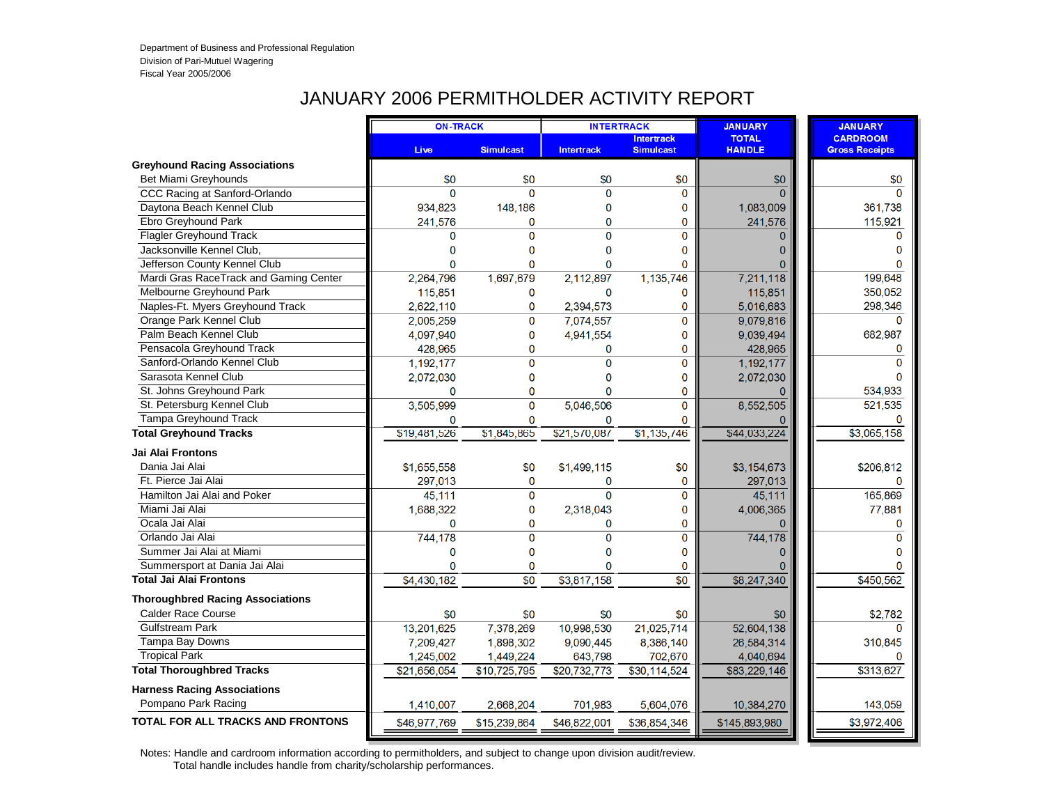## JANUARY 2006 PERMITHOLDER ACTIVITY REPORT

|                                          |              | <b>ON-TRACK</b><br><b>INTERTRACK</b> |                   |                                       | <b>JANUARY</b>                | <b>JANUARY</b>                           |
|------------------------------------------|--------------|--------------------------------------|-------------------|---------------------------------------|-------------------------------|------------------------------------------|
|                                          | <b>Live</b>  | <b>Simulcast</b>                     | <b>Intertrack</b> | <b>Intertrack</b><br><b>Simulcast</b> | <b>TOTAL</b><br><b>HANDLE</b> | <b>CARDROOM</b><br><b>Gross Receipts</b> |
| <b>Greyhound Racing Associations</b>     |              |                                      |                   |                                       |                               |                                          |
| Bet Miami Greyhounds                     | \$0          | \$0                                  | \$0               | \$0                                   | \$0                           | \$0                                      |
| CCC Racing at Sanford-Orlando            | $\Omega$     | $\Omega$                             | $\overline{0}$    | $\mathbf 0$                           |                               | $\Omega$                                 |
| Daytona Beach Kennel Club                | 934,823      | 148.186                              | 0                 | 0                                     | 1,083,009                     | 361,738                                  |
| Ebro Greyhound Park                      | 241,576      | $\Omega$                             | 0                 | 0                                     | 241,576                       | 115,921                                  |
| <b>Flagler Greyhound Track</b>           | 0            | $\Omega$                             | $\Omega$          | $\overline{0}$                        | $\Omega$                      | $\Omega$                                 |
| Jacksonville Kennel Club,                | 0            | 0                                    | 0                 | 0                                     | 0                             | $\Omega$                                 |
| Jefferson County Kennel Club             | $\Omega$     | $\Omega$                             | $\Omega$          | $\Omega$                              |                               | $\Omega$                                 |
| Mardi Gras RaceTrack and Gaming Center   | 2,264,796    | 1,697,679                            | 2,112,897         | 1,135,746                             | 7,211,118                     | 199,648                                  |
| Melbourne Greyhound Park                 | 115,851      | $\mathbf 0$                          | 0                 | 0                                     | 115,851                       | 350,052                                  |
| Naples-Ft. Myers Greyhound Track         | 2,622,110    | $\mathbf 0$                          | 2,394,573         | 0                                     | 5,016,683                     | 298,346                                  |
| Orange Park Kennel Club                  | 2,005,259    | $\mathbf{0}$                         | 7,074,557         | 0                                     | 9,079,816                     | $\Omega$                                 |
| Palm Beach Kennel Club                   | 4,097,940    | 0                                    | 4,941,554         | 0                                     | 9,039,494                     | 682,987                                  |
| Pensacola Greyhound Track                | 428,965      | 0                                    | 0                 | 0                                     | 428,965                       | 0                                        |
| Sanford-Orlando Kennel Club              | 1,192,177    | $\overline{0}$                       | $\overline{0}$    | 0                                     | 1,192,177                     | $\Omega$                                 |
| Sarasota Kennel Club                     | 2,072,030    | 0                                    | 0                 | 0                                     | 2,072,030                     |                                          |
| St. Johns Greyhound Park                 | 0            | $\overline{0}$                       | 0                 | 0                                     |                               | 534,933                                  |
| St. Petersburg Kennel Club               | 3,505,999    | $\overline{0}$                       | 5,046,506         | 0                                     | 8,552,505                     | 521,535                                  |
| Tampa Greyhound Track                    | $\mathbf{0}$ | $\Omega$                             | 0                 | $\overline{0}$                        |                               | $\Omega$                                 |
| <b>Total Greyhound Tracks</b>            | \$19,481,526 | \$1,845,865                          | \$21,570,087      | \$1,135,746                           | \$44,033,224                  | \$3,065,158                              |
| Jai Alai Frontons                        |              |                                      |                   |                                       |                               |                                          |
| Dania Jai Alai                           | \$1,655,558  | \$0                                  | \$1,499,115       | \$0                                   | \$3,154,673                   | \$206,812                                |
| Ft. Pierce Jai Alai                      | 297,013      | $\mathbf{0}$                         | 0                 | $\mathbf 0$                           | 297,013                       | $\Omega$                                 |
| Hamilton Jai Alai and Poker              | 45,111       | $\overline{0}$                       | $\overline{0}$    | 0                                     | 45.111                        | 165,869                                  |
| Miami Jai Alai                           | 1,688,322    | $\mathbf{0}$                         | 2,318,043         | 0                                     | 4,006,365                     | 77,881                                   |
| Ocala Jai Alai                           | $\mathbf{0}$ | 0                                    | 0                 | 0                                     |                               | 0                                        |
| Orlando Jai Alai                         | 744,178      | $\Omega$                             | $\overline{0}$    | 0                                     | 744,178                       | $\Omega$                                 |
| Summer Jai Alai at Miami                 | 0            | $\mathbf{0}$                         | $\bf{0}$          | 0                                     |                               | $\Omega$                                 |
| Summersport at Dania Jai Alai            | $\mathbf{0}$ | 0                                    | $\overline{0}$    | 0                                     |                               |                                          |
| <b>Total Jai Alai Frontons</b>           | \$4,430,182  | $\overline{50}$                      | \$3,817,158       | $\overline{50}$                       | \$8,247,340                   | \$450,562                                |
| <b>Thoroughbred Racing Associations</b>  |              |                                      |                   |                                       |                               |                                          |
| <b>Calder Race Course</b>                | \$0          | \$0                                  | \$0               | \$0                                   | \$0                           | \$2,782                                  |
| <b>Gulfstream Park</b>                   | 13,201,625   | 7,378,269                            | 10,998,530        | 21,025,714                            | 52,604,138                    | $\Omega$                                 |
| Tampa Bay Downs                          | 7,209,427    | 1,898,302                            | 9,090,445         | 8,386,140                             | 26,584,314                    | 310,845                                  |
| <b>Tropical Park</b>                     | 1,245,002    | 1,449,224                            | 643,798           | 702,670                               | 4,040,694                     |                                          |
| <b>Total Thoroughbred Tracks</b>         | \$21,656,054 | \$10,725,795                         | \$20,732,773      | \$30,114,524                          | \$83,229,146                  | \$313,627                                |
| <b>Harness Racing Associations</b>       |              |                                      |                   |                                       |                               |                                          |
| Pompano Park Racing                      | 1,410,007    | 2,668,204                            | 701,983           | 5,604,076                             | 10,384,270                    | 143,059                                  |
| <b>TOTAL FOR ALL TRACKS AND FRONTONS</b> | \$46,977,769 | \$15,239,864                         | \$46,822,001      | \$36,854,346                          | \$145,893,980                 | \$3,972,406                              |
|                                          |              |                                      |                   |                                       |                               |                                          |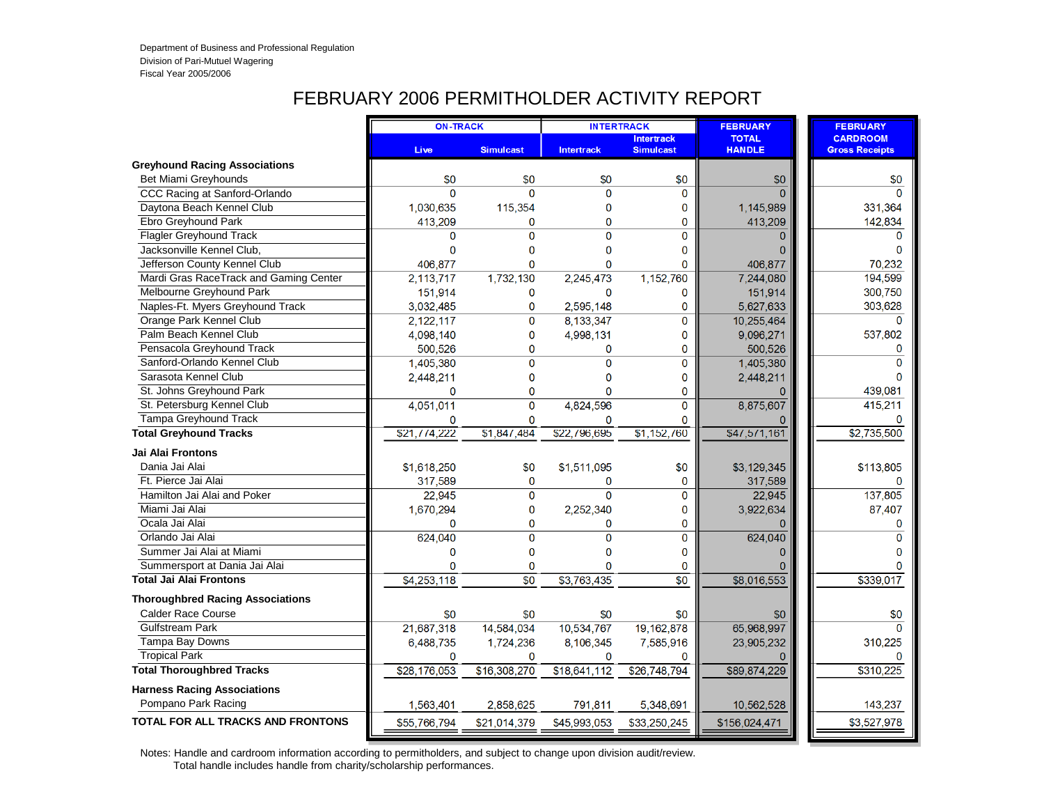## FEBRUARY 2006 PERMITHOLDER ACTIVITY REPORT

|                                          | <b>ON-TRACK</b> |                  | <b>INTERTRACK</b> |                                       | <b>FEBRUARY</b>               | <b>FEBRUARY</b>                          |
|------------------------------------------|-----------------|------------------|-------------------|---------------------------------------|-------------------------------|------------------------------------------|
|                                          | <b>Live</b>     | <b>Simulcast</b> | <b>Intertrack</b> | <b>Intertrack</b><br><b>Simulcast</b> | <b>TOTAL</b><br><b>HANDLE</b> | <b>CARDROOM</b><br><b>Gross Receipts</b> |
| <b>Greyhound Racing Associations</b>     |                 |                  |                   |                                       |                               |                                          |
| Bet Miami Greyhounds                     | \$0             | \$0              | \$0               | \$0                                   | \$0                           | \$0                                      |
| CCC Racing at Sanford-Orlando            | $\Omega$        | $\Omega$         | $\Omega$          | 0                                     |                               | $\Omega$                                 |
| Daytona Beach Kennel Club                | 1,030,635       | 115,354          | 0                 | 0                                     | 1,145,989                     | 331,364                                  |
| Ebro Greyhound Park                      | 413,209         | $\Omega$         | $\mathbf{0}$      | 0                                     | 413,209                       | 142,834                                  |
| <b>Flagler Greyhound Track</b>           | $\Omega$        | $\Omega$         | $\Omega$          | $\overline{0}$                        | $\Omega$                      | $\Omega$                                 |
| Jacksonville Kennel Club,                | $\mathbf{0}$    | $\Omega$         | $\mathbf 0$       | 0                                     |                               | $\Omega$                                 |
| Jefferson County Kennel Club             | 406.877         | $\Omega$         | $\mathbf{0}$      | 0                                     | 406,877                       | 70,232                                   |
| Mardi Gras RaceTrack and Gaming Center   | 2,113,717       | 1,732,130        | 2,245,473         | 1,152,760                             | 7,244,080                     | 194,599                                  |
| Melbourne Greyhound Park                 | 151,914         | 0                | $\mathbf{0}$      | 0                                     | 151,914                       | 300,750                                  |
| Naples-Ft. Myers Greyhound Track         | 3,032,485       | $\mathbf 0$      | 2,595,148         | 0                                     | 5,627,633                     | 303,628                                  |
| Orange Park Kennel Club                  | 2,122,117       | 0                | 8,133,347         | 0                                     | 10,255,464                    | $\Omega$                                 |
| Palm Beach Kennel Club                   | 4.098.140       | $\overline{0}$   | 4,998,131         | 0                                     | 9,096,271                     | 537,802                                  |
| Pensacola Greyhound Track                | 500,526         | 0                | $\mathbf 0$       | 0                                     | 500,526                       | $\mathbf 0$                              |
| Sanford-Orlando Kennel Club              | 1,405,380       | $\Omega$         | $\overline{0}$    | 0                                     | 1,405,380                     | $\Omega$                                 |
| Sarasota Kennel Club                     | 2,448,211       | 0                | 0                 | 0                                     | 2,448,211                     |                                          |
| St. Johns Greyhound Park                 | $\mathbf 0$     | $\overline{0}$   | 0                 | 0                                     |                               | 439,081                                  |
| St. Petersburg Kennel Club               | 4,051,011       | 0                | 4,824,596         | 0                                     | 8,875,607                     | 415,211                                  |
| <b>Tampa Greyhound Track</b>             | 0               | $\Omega$         | $\bf{0}$          | 0                                     |                               |                                          |
| <b>Total Greyhound Tracks</b>            | \$21,774,222    | 51,847,484       | \$22,796,695      | \$1,152,760                           | \$47,571,161                  | \$2,735,500                              |
| Jai Alai Frontons                        |                 |                  |                   |                                       |                               |                                          |
| Dania Jai Alai                           | \$1,618,250     | \$0              | \$1,511,095       | \$0                                   | \$3,129,345                   | \$113,805                                |
| Ft. Pierce Jai Alai                      | 317,589         | $\mathbf{O}$     | $\mathbf{0}$      | 0                                     | 317,589                       | $\Omega$                                 |
| Hamilton Jai Alai and Poker              | 22,945          | $\overline{0}$   | $\overline{0}$    | 0                                     | 22,945                        | 137,805                                  |
| Miami Jai Alai                           | 1,670,294       | 0                | 2,252,340         | 0                                     | 3,922,634                     | 87,407                                   |
| Ocala Jai Alai                           | $\Omega$        | 0                | 0                 | 0                                     |                               | $\mathbf{0}$                             |
| Orlando Jai Alai                         | 624,040         | $\overline{0}$   | $\overline{0}$    | 0                                     | 624,040                       | $\Omega$                                 |
| Summer Jai Alai at Miami                 | 0               | 0                | $\mathbf 0$       | 0                                     | n                             | $\Omega$                                 |
| Summersport at Dania Jai Alai            | $\Omega$        | 0                | $\mathbf{0}$      | 0                                     |                               |                                          |
| <b>Total Jai Alai Frontons</b>           | \$4,253,118     | $\overline{50}$  | \$3,763,435       | $\overline{50}$                       | \$8,016,553                   | \$339,017                                |
| <b>Thoroughbred Racing Associations</b>  |                 |                  |                   |                                       |                               |                                          |
| <b>Calder Race Course</b>                | \$0             | \$0              | \$0               | \$0                                   | \$0                           | \$0                                      |
| <b>Gulfstream Park</b>                   | 21,687,318      | 14,584,034       | 10,534,767        | 19, 162, 878                          | 65,968,997                    | $\Omega$                                 |
| Tampa Bay Downs                          | 6,488,735       | 1,724,236        | 8,106,345         | 7,585,916                             | 23,905,232                    | 310,225                                  |
| <b>Tropical Park</b>                     | $\Omega$        | $\Omega$         | $\Omega$          | 0                                     |                               |                                          |
| <b>Total Thoroughbred Tracks</b>         | \$28,176,053    | \$16,308,270     | \$18,641,112      | \$26,748,794                          | \$89,874,229                  | \$310,225                                |
| <b>Harness Racing Associations</b>       |                 |                  |                   |                                       |                               |                                          |
| Pompano Park Racing                      | 1,563,401       | 2,858,625        | 791,811           | 5,348,691                             | 10,562,528                    | 143,237                                  |
| <b>TOTAL FOR ALL TRACKS AND FRONTONS</b> | \$55,766,794    | \$21,014,379     | \$45,993,053      | \$33,250,245                          | \$156,024,471                 | \$3,527,978                              |
|                                          |                 |                  |                   |                                       |                               |                                          |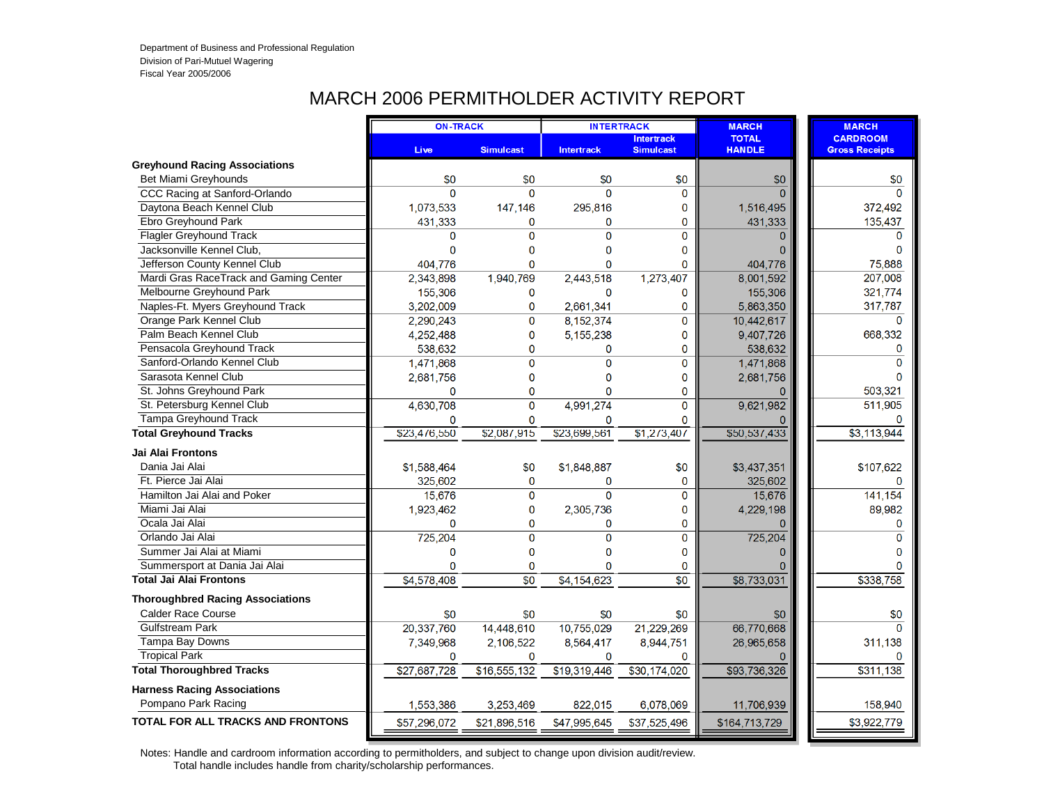### MARCH 2006 PERMITHOLDER ACTIVITY REPORT

|                                          | <b>ON-TRACK</b> |                  | <b>INTERTRACK</b> |                                       | <b>MARCH</b>                  | <b>MARCH</b>                             |
|------------------------------------------|-----------------|------------------|-------------------|---------------------------------------|-------------------------------|------------------------------------------|
|                                          | <b>Live</b>     | <b>Simulcast</b> | <b>Intertrack</b> | <b>Intertrack</b><br><b>Simulcast</b> | <b>TOTAL</b><br><b>HANDLE</b> | <b>CARDROOM</b><br><b>Gross Receipts</b> |
| <b>Greyhound Racing Associations</b>     |                 |                  |                   |                                       |                               |                                          |
| Bet Miami Greyhounds                     | \$0             | \$0              | \$0               | \$0                                   | \$0                           | \$0                                      |
| CCC Racing at Sanford-Orlando            | $\Omega$        | $\Omega$         | $\Omega$          | 0                                     |                               | $\Omega$                                 |
| Daytona Beach Kennel Club                | 1,073,533       | 147,146          | 295,816           | 0                                     | 1,516,495                     | 372,492                                  |
| Ebro Greyhound Park                      | 431,333         | 0                | $\bf{0}$          | 0                                     | 431,333                       | 135,437                                  |
| <b>Flagler Greyhound Track</b>           | 0               | $\Omega$         | $\Omega$          | 0                                     | $\Omega$                      | $\Omega$                                 |
| Jacksonville Kennel Club.                | 0               | 0                | $\Omega$          | 0                                     |                               | $\Omega$                                 |
| Jefferson County Kennel Club             | 404,776         | 0                | $\mathbf{0}$      | 0                                     | 404,776                       | 75,888                                   |
| Mardi Gras RaceTrack and Gaming Center   | 2,343,898       | 1,940,769        | 2,443,518         | 1,273,407                             | 8,001,592                     | 207,008                                  |
| Melbourne Greyhound Park                 | 155,306         | 0                | 0                 | 0                                     | 155,306                       | 321,774                                  |
| Naples-Ft. Myers Greyhound Track         | 3,202,009       | 0                | 2,661,341         | 0                                     | 5,863,350                     | 317,787                                  |
| Orange Park Kennel Club                  | 2,290,243       | $\mathbf 0$      | 8,152,374         | 0                                     | 10,442,617                    | $\Omega$                                 |
| Palm Beach Kennel Club                   | 4,252,488       | $\mathbf{0}$     | 5,155,238         | 0                                     | 9,407,726                     | 668,332                                  |
| Pensacola Greyhound Track                | 538,632         | 0                | 0                 | 0                                     | 538,632                       | 0                                        |
| Sanford-Orlando Kennel Club              | 1,471,868       | $\Omega$         | $\Omega$          | 0                                     | 1,471,868                     | $\Omega$                                 |
| Sarasota Kennel Club                     | 2,681,756       | 0                | 0                 | 0                                     | 2,681,756                     |                                          |
| St. Johns Greyhound Park                 | $\Omega$        | 0                | 0                 | 0                                     | <sup>0</sup>                  | 503,321                                  |
| St. Petersburg Kennel Club               | 4,630,708       | 0                | 4,991,274         | 0                                     | 9,621,982                     | 511,905                                  |
| Tampa Greyhound Track                    | 0               | 0                | $\mathbf 0$       | $\Omega$                              |                               |                                          |
| <b>Total Greyhound Tracks</b>            | \$23,476,550    | \$2.087.915      | \$23,699,561      | \$1,273,407                           | \$50,537,433                  | $\overline{33,113,944}$                  |
| Jai Alai Frontons                        |                 |                  |                   |                                       |                               |                                          |
| Dania Jai Alai                           | \$1,588,464     | \$0              | \$1,848,887       | \$0                                   | \$3,437,351                   | \$107,622                                |
| Ft. Pierce Jai Alai                      | 325,602         | $\mathbf{0}$     | 0                 | 0                                     | 325,602                       | $\Omega$                                 |
| Hamilton Jai Alai and Poker              | 15,676          | $\Omega$         | $\mathbf{0}$      | 0                                     | 15,676                        | 141,154                                  |
| Miami Jai Alai                           | 1,923,462       | $\mathbf 0$      | 2,305,736         | 0                                     | 4,229,198                     | 89,982                                   |
| Ocala Jai Alai                           | $\mathbf{0}$    | 0                | $\mathbf 0$       | 0                                     |                               | $\mathbf{0}$                             |
| Orlando Jai Alai                         | 725,204         | $\Omega$         | $\overline{0}$    | $\overline{0}$                        | 725,204                       | $\Omega$                                 |
| Summer Jai Alai at Miami                 | 0               | 0                | $\mathbf 0$       | 0                                     | $\Omega$                      | $\Omega$                                 |
| Summersport at Dania Jai Alai            | $\Omega$        | $\Omega$         | $\Omega$          | $\mathbf{0}$                          |                               |                                          |
| <b>Total Jai Alai Frontons</b>           | \$4,578,408     | $\overline{50}$  | \$4,154,623       | $\overline{50}$                       | \$8,733,031                   | \$338,758                                |
| <b>Thoroughbred Racing Associations</b>  |                 |                  |                   |                                       |                               |                                          |
| <b>Calder Race Course</b>                | \$0             | \$0              | \$0               | \$0                                   | \$0                           | \$0                                      |
| <b>Gulfstream Park</b>                   | 20,337,760      | 14,448,610       | 10,755,029        | 21,229,269                            | 66,770,668                    | $\Omega$                                 |
| Tampa Bay Downs                          | 7,349,968       | 2,106,522        | 8,564,417         | 8,944,751                             | 26,965,658                    | 311,138                                  |
| <b>Tropical Park</b>                     | $\Omega$        | $\Omega$         | 0                 | 0                                     |                               | n                                        |
| <b>Total Thoroughbred Tracks</b>         | \$27,687,728    | \$16,555,132     | \$19,319,446      | \$30,174,020                          | \$93,736,326                  | \$311,138                                |
| <b>Harness Racing Associations</b>       |                 |                  |                   |                                       |                               |                                          |
| Pompano Park Racing                      | 1,553,386       | 3.253.469        | 822.015           | 6,078,069                             | 11,706,939                    | 158,940                                  |
| <b>TOTAL FOR ALL TRACKS AND FRONTONS</b> | \$57,296,072    | \$21,896,516     | \$47,995,645      | \$37,525,496                          | \$164,713,729                 | \$3,922,779                              |
|                                          |                 |                  |                   |                                       |                               |                                          |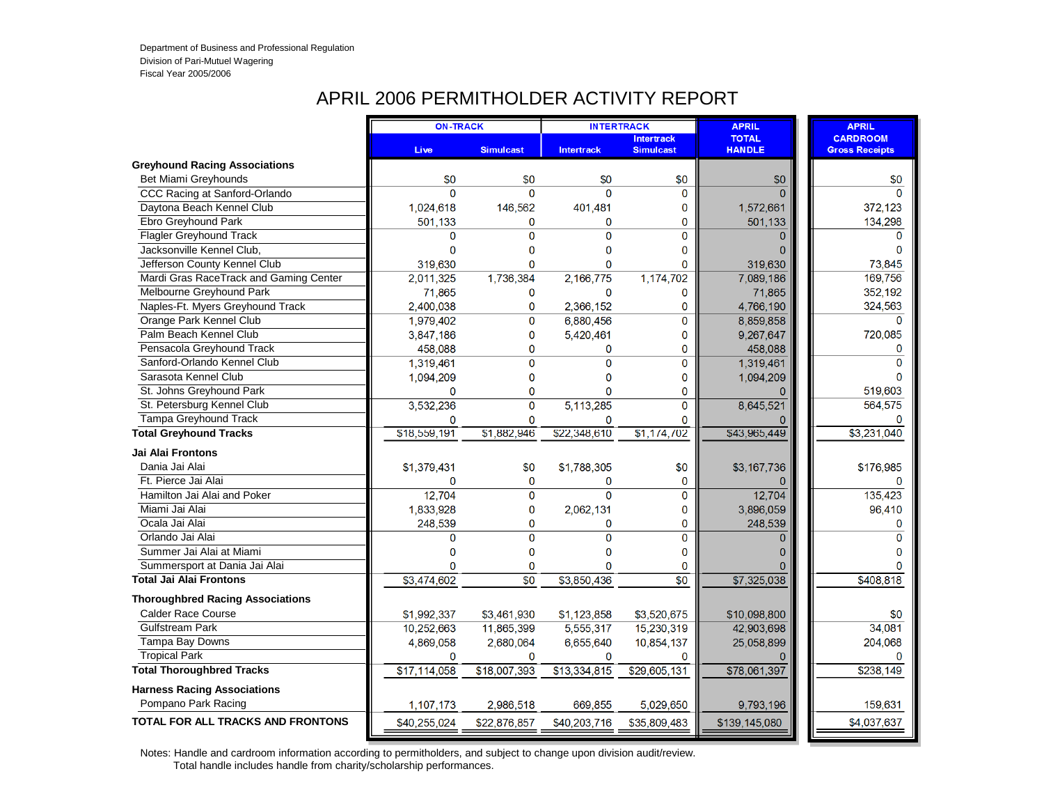# APRIL 2006 PERMITHOLDER ACTIVITY REPORT

|                                          | <b>ON-TRACK</b> |                  |                   | <b>INTERTRACK</b>                     | <b>APRIL</b>                  | <b>APRIL</b>                             |
|------------------------------------------|-----------------|------------------|-------------------|---------------------------------------|-------------------------------|------------------------------------------|
|                                          | Live            | <b>Simulcast</b> | <b>Intertrack</b> | <b>Intertrack</b><br><b>Simulcast</b> | <b>TOTAL</b><br><b>HANDLE</b> | <b>CARDROOM</b><br><b>Gross Receipts</b> |
| <b>Greyhound Racing Associations</b>     |                 |                  |                   |                                       |                               |                                          |
| Bet Miami Greyhounds                     | \$0             | \$0              | \$0               | \$0                                   | \$0                           | \$0                                      |
| CCC Racing at Sanford-Orlando            | $\Omega$        | $\Omega$         | $\Omega$          | 0                                     |                               | $\Omega$                                 |
| Daytona Beach Kennel Club                | 1,024,618       | 146,562          | 401,481           | 0                                     | 1,572,661                     | 372,123                                  |
| Ebro Greyhound Park                      | 501.133         | 0                | $\bf{0}$          | 0                                     | 501,133                       | 134,298                                  |
| <b>Flagler Greyhound Track</b>           | 0               | 0                | $\Omega$          | $\Omega$                              | $\Omega$                      | $\Omega$                                 |
| Jacksonville Kennel Club.                | $\Omega$        | 0                | $\Omega$          | 0                                     |                               | $\Omega$                                 |
| Jefferson County Kennel Club             | 319,630         | 0                | $\mathbf{0}$      | 0                                     | 319,630                       | 73,845                                   |
| Mardi Gras RaceTrack and Gaming Center   | 2,011,325       | 1,736,384        | 2,166,775         | 1,174,702                             | 7,089,186                     | 169,756                                  |
| Melbourne Greyhound Park                 | 71,865          | 0                | 0                 | 0                                     | 71,865                        | 352,192                                  |
| Naples-Ft. Myers Greyhound Track         | 2,400,038       | 0                | 2,366,152         | 0                                     | 4,766,190                     | 324,563                                  |
| Orange Park Kennel Club                  | 1,979,402       | $\mathbf 0$      | 6,880,456         | 0                                     | 8,859,858                     | $\Omega$                                 |
| Palm Beach Kennel Club                   | 3,847,186       | $\mathbf{0}$     | 5,420,461         | 0                                     | 9,267,647                     | 720,085                                  |
| Pensacola Greyhound Track                | 458,088         | 0                | $\bf{0}$          | 0                                     | 458,088                       | $\mathbf 0$                              |
| Sanford-Orlando Kennel Club              | 1,319,461       | $\Omega$         | $\Omega$          | 0                                     | 1,319,461                     | $\Omega$                                 |
| Sarasota Kennel Club                     | 1,094,209       | 0                | 0                 | 0                                     | 1,094,209                     |                                          |
| St. Johns Greyhound Park                 | $\Omega$        | 0                | 0                 | 0                                     |                               | 519,603                                  |
| St. Petersburg Kennel Club               | 3,532,236       | 0                | 5,113,285         | 0                                     | 8,645,521                     | 564,575                                  |
| Tampa Greyhound Track                    | 0               | 0                | $\mathbf 0$       | 0                                     |                               | $\Omega$                                 |
| <b>Total Greyhound Tracks</b>            | \$18,559,191    | \$1.882.946      | \$22,348,610      | \$1,174,702                           | \$43,965,449                  | $\overline{3,231,040}$                   |
| Jai Alai Frontons                        |                 |                  |                   |                                       |                               |                                          |
| Dania Jai Alai                           | \$1,379,431     | \$0              | \$1,788,305       | \$0                                   | \$3,167,736                   | \$176,985                                |
| Ft. Pierce Jai Alai                      | 0               | $\mathbf{0}$     | $\Omega$          | 0                                     |                               | $\Omega$                                 |
| Hamilton Jai Alai and Poker              | 12,704          | $\Omega$         | $\mathbf{0}$      | 0                                     | 12,704                        | 135,423                                  |
| Miami Jai Alai                           | 1,833,928       | 0                | 2,062,131         | 0                                     | 3,896,059                     | 96,410                                   |
| Ocala Jai Alai                           | 248,539         | 0                | $\mathbf 0$       | 0                                     | 248.539                       | $\mathbf{0}$                             |
| Orlando Jai Alai                         | $\Omega$        | $\Omega$         | $\overline{0}$    | $\overline{0}$                        | $\Omega$                      | $\Omega$                                 |
| Summer Jai Alai at Miami                 | 0               | 0                | $\mathbf 0$       | 0                                     | 0                             | $\Omega$                                 |
| Summersport at Dania Jai Alai            | 0               | $\Omega$         | $\Omega$          | $\mathbf{0}$                          |                               |                                          |
| <b>Total Jai Alai Frontons</b>           | \$3,474,602     | $\overline{50}$  | \$3,850,436       | $\overline{50}$                       | \$7,325,038                   | \$408,818                                |
| <b>Thoroughbred Racing Associations</b>  |                 |                  |                   |                                       |                               |                                          |
| <b>Calder Race Course</b>                | \$1,992,337     | \$3,461,930      | \$1,123,858       | \$3,520,675                           | \$10,098,800                  | \$0                                      |
| <b>Gulfstream Park</b>                   | 10,252,663      | 11,865,399       | 5,555,317         | 15,230,319                            | 42,903,698                    | 34,081                                   |
| Tampa Bay Downs                          | 4,869,058       | 2,680,064        | 6,655,640         | 10,854,137                            | 25,058,899                    | 204,068                                  |
| <b>Tropical Park</b>                     | $\Omega$        | $\Omega$         | $\Omega$          | 0                                     |                               |                                          |
| <b>Total Thoroughbred Tracks</b>         | \$17,114,058    | \$18,007,393     | \$13,334,815      | \$29,605,131                          | \$78,061,397                  | \$238,149                                |
| <b>Harness Racing Associations</b>       |                 |                  |                   |                                       |                               |                                          |
| Pompano Park Racing                      | 1,107,173       | 2.986.518        | 669,855           | 5,029,650                             | 9,793,196                     | 159,631                                  |
| <b>TOTAL FOR ALL TRACKS AND FRONTONS</b> | \$40,255,024    | \$22,876,857     | \$40,203,716      | \$35,809,483                          | \$139,145,080                 | \$4,037,637                              |
|                                          |                 |                  |                   |                                       |                               |                                          |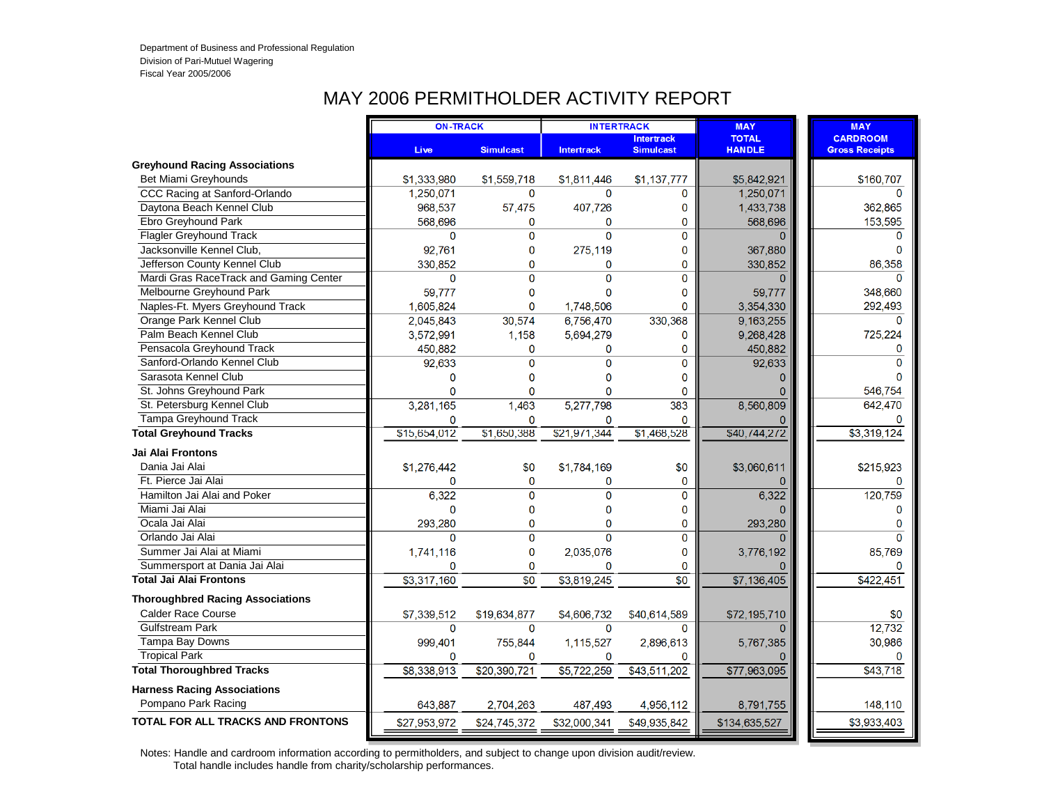## MAY 2006 PERMITHOLDER ACTIVITY REPORT

|                                          | <b>ON-TRACK</b> |                  | <b>INTERTRACK</b> |                                       | <b>MAY</b>                    | <b>MAY</b>                               |
|------------------------------------------|-----------------|------------------|-------------------|---------------------------------------|-------------------------------|------------------------------------------|
|                                          | <b>Live</b>     | <b>Simulcast</b> | <b>Intertrack</b> | <b>Intertrack</b><br><b>Simulcast</b> | <b>TOTAL</b><br><b>HANDLE</b> | <b>CARDROOM</b><br><b>Gross Receipts</b> |
| <b>Greyhound Racing Associations</b>     |                 |                  |                   |                                       |                               |                                          |
| Bet Miami Greyhounds                     | \$1,333,980     | \$1,559,718      | \$1,811,446       | \$1,137,777                           | \$5,842,921                   | \$160,707                                |
| CCC Racing at Sanford-Orlando            | 1,250,071       | $\Omega$         | $\Omega$          | 0                                     | 1,250,071                     |                                          |
| Daytona Beach Kennel Club                | 968,537         | 57,475           | 407,726           | 0                                     | 1,433,738                     | 362,865                                  |
| Ebro Greyhound Park                      | 568,696         | 0                | $\mathbf 0$       | 0                                     | 568,696                       | 153,595                                  |
| <b>Flagler Greyhound Track</b>           | $\Omega$        | $\Omega$         | $\mathbf{0}$      | $\Omega$                              | $\Omega$                      | $\Omega$                                 |
| Jacksonville Kennel Club,                | 92,761          | 0                | 275,119           | 0                                     | 367,880                       | $\Omega$                                 |
| Jefferson County Kennel Club             | 330.852         | $\overline{0}$   | $\mathbf{0}$      | $\mathbf{0}$                          | 330,852                       | 86.358                                   |
| Mardi Gras RaceTrack and Gaming Center   | 0               | $\mathbf{0}$     | $\mathbf{0}$      | $\Omega$                              |                               |                                          |
| Melbourne Greyhound Park                 | 59,777          | 0                | $\mathbf{0}$      | 0                                     | 59,777                        | 348,660                                  |
| Naples-Ft. Myers Greyhound Track         | 1,605,824       | $\Omega$         | 1,748,506         | $\Omega$                              | 3,354,330                     | 292,493                                  |
| Orange Park Kennel Club                  | 2,045,843       | 30,574           | 6,756,470         | 330,368                               | 9,163,255                     | $\Omega$                                 |
| Palm Beach Kennel Club                   | 3,572,991       | 1,158            | 5,694,279         | 0                                     | 9,268,428                     | 725,224                                  |
| Pensacola Greyhound Track                | 450,882         | 0                | 0                 | $\mathbf 0$                           | 450,882                       | 0                                        |
| Sanford-Orlando Kennel Club              | 92,633          | $\Omega$         | $\mathbf{0}$      | $\Omega$                              | 92,633                        | $\Omega$                                 |
| Sarasota Kennel Club                     | 0               | 0                | $\mathbf 0$       | $\Omega$                              |                               |                                          |
| St. Johns Greyhound Park                 | $\overline{0}$  | 0                | 0                 | 0                                     | 0                             | 546,754                                  |
| St. Petersburg Kennel Club               | 3,281,165       | 1,463            | 5,277,798         | 383                                   | 8,560,809                     | 642,470                                  |
| <b>Tampa Greyhound Track</b>             | 0               | $\Omega$         | $\mathbf 0$       | $\mathbf{0}$                          |                               |                                          |
| <b>Total Greyhound Tracks</b>            | \$15,654,012    | \$1,650,388      | \$21,971,344      | \$1,468,528                           | \$40,744,272                  | \$3,319,124                              |
| Jai Alai Frontons                        |                 |                  |                   |                                       |                               |                                          |
| Dania Jai Alai                           | \$1,276,442     | \$0              | \$1,784,169       | \$0                                   | \$3,060,611                   | \$215,923                                |
| Ft. Pierce Jai Alai                      | $\Omega$        | $\mathbf{0}$     | 0                 | 0                                     |                               | $\Omega$                                 |
| Hamilton Jai Alai and Poker              | 6,322           | $\overline{0}$   | $\mathbf{0}$      | $\mathbf{O}$                          | 6,322                         | 120,759                                  |
| Miami Jai Alai                           | $\Omega$        | 0                | $\mathbf{0}$      | 0                                     |                               |                                          |
| Ocala Jai Alai                           | 293,280         | 0                | $\mathbf 0$       | $\mathbf 0$                           | 293,280                       |                                          |
| Orlando Jai Alai                         | $\Omega$        | $\Omega$         | $\overline{0}$    | $\Omega$                              |                               | $\Omega$                                 |
| Summer Jai Alai at Miami                 | 1,741,116       | 0                | 2,035,076         | 0                                     | 3,776,192                     | 85,769                                   |
| Summersport at Dania Jai Alai            | 0               | 0                | 0                 | $\mathbf{0}$                          |                               |                                          |
| <b>Total Jai Alai Frontons</b>           | \$3,317,160     | $\overline{\$0}$ | \$3,819,245       | $\overline{50}$                       | \$7,136,405                   | \$422,451                                |
| <b>Thoroughbred Racing Associations</b>  |                 |                  |                   |                                       |                               |                                          |
| <b>Calder Race Course</b>                | \$7,339,512     | \$19,634,877     | \$4,606,732       | \$40,614,589                          | \$72,195,710                  | \$0                                      |
| <b>Gulfstream Park</b>                   | 0               | $\Omega$         | $\mathbf 0$       | 0                                     |                               | 12,732                                   |
| Tampa Bay Downs                          | 999,401         | 755,844          | 1,115,527         | 2,896,613                             | 5,767,385                     | 30,986                                   |
| <b>Tropical Park</b>                     | $\Omega$        | $\Omega$         | $\Omega$          | $\Omega$                              |                               |                                          |
| <b>Total Thoroughbred Tracks</b>         | \$8,338,913     | \$20,390,721     | \$5,722,259       | \$43,511,202                          | \$77,963,095                  | \$43,718                                 |
| <b>Harness Racing Associations</b>       |                 |                  |                   |                                       |                               |                                          |
| Pompano Park Racing                      | 643,887         | 2,704,263        | 487,493           | 4,956,112                             | 8,791,755                     | 148,110                                  |
| <b>TOTAL FOR ALL TRACKS AND FRONTONS</b> | \$27,953,972    | \$24,745,372     | \$32,000,341      | \$49,935,842                          | \$134,635,527                 | \$3,933,403                              |
|                                          |                 |                  |                   |                                       |                               |                                          |